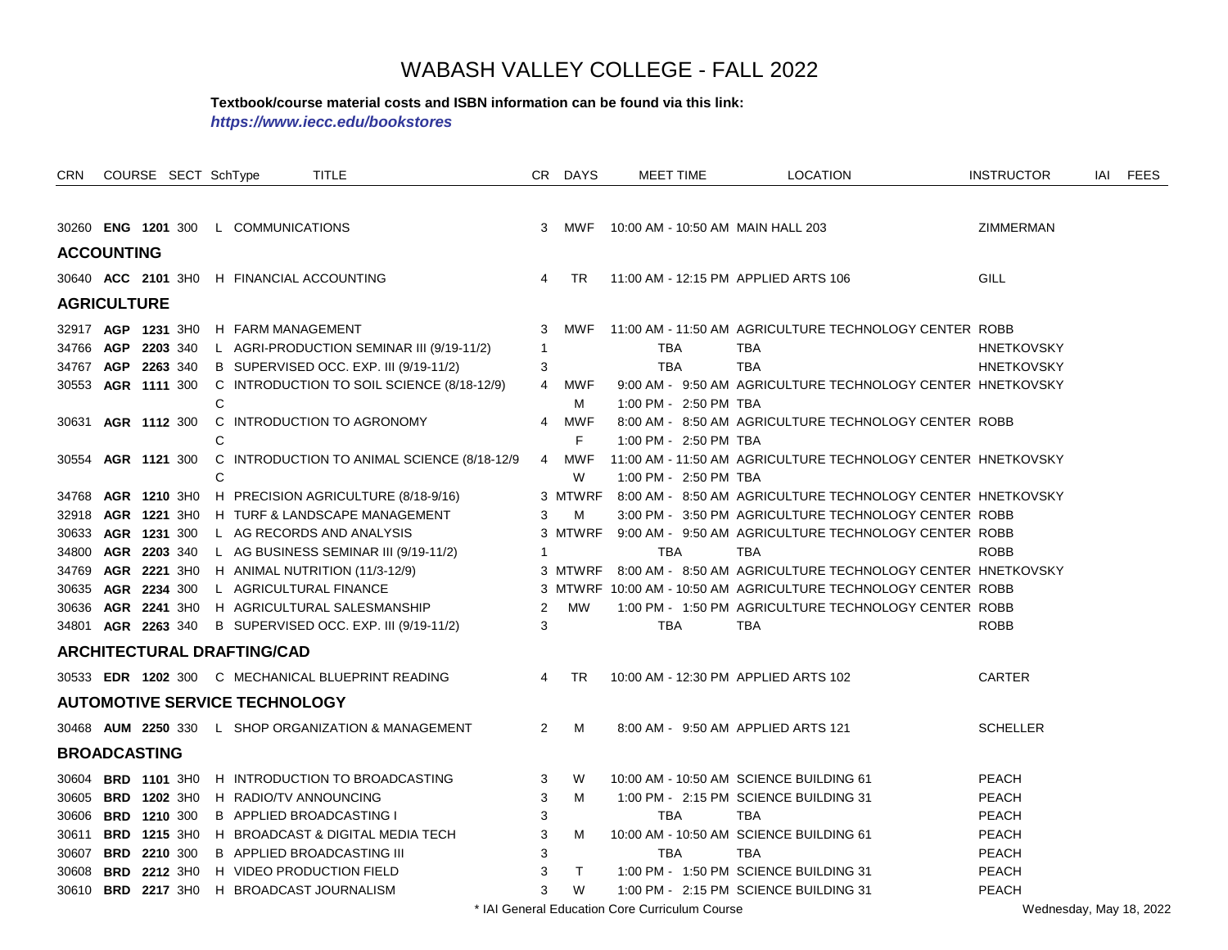#### **Textbook/course material costs and ISBN information can be found via this link:**

*https://www.iecc.edu/bookstores*

| CRN.  |                     | COURSE SECT SchType |   |                                      | <b>TITLE</b>                                              |                | CR DAYS    |                                                | <b>MEET TIME</b>      | <b>LOCATION</b>                                                    | <b>INSTRUCTOR</b>       | IAI FEES |
|-------|---------------------|---------------------|---|--------------------------------------|-----------------------------------------------------------|----------------|------------|------------------------------------------------|-----------------------|--------------------------------------------------------------------|-------------------------|----------|
|       |                     |                     |   |                                      |                                                           |                |            |                                                |                       |                                                                    |                         |          |
|       |                     |                     |   | 30260 ENG 1201 300 L COMMUNICATIONS  |                                                           |                |            |                                                |                       | 3 MWF 10:00 AM - 10:50 AM MAIN HALL 203                            | ZIMMERMAN               |          |
|       | <b>ACCOUNTING</b>   |                     |   |                                      |                                                           |                |            |                                                |                       |                                                                    |                         |          |
|       |                     |                     |   |                                      | 30640 ACC 2101 3H0 H FINANCIAL ACCOUNTING                 | 4              | <b>TR</b>  |                                                |                       | 11:00 AM - 12:15 PM APPLIED ARTS 106                               | GILL                    |          |
|       | <b>AGRICULTURE</b>  |                     |   |                                      |                                                           |                |            |                                                |                       |                                                                    |                         |          |
|       |                     |                     |   | 32917 AGP 1231 3HO H FARM MANAGEMENT |                                                           | 3              | MWF        |                                                |                       | 11:00 AM - 11:50 AM AGRICULTURE TECHNOLOGY CENTER ROBB             |                         |          |
|       |                     | 34766 AGP 2203 340  |   |                                      | L AGRI-PRODUCTION SEMINAR III (9/19-11/2)                 | $\mathbf{1}$   |            |                                                | TBA                   | TBA                                                                | <b>HNETKOVSKY</b>       |          |
| 34767 |                     | AGP 2263 340        |   |                                      | B SUPERVISED OCC. EXP. III (9/19-11/2)                    | 3              |            | <b>TBA</b>                                     |                       | <b>TBA</b>                                                         | <b>HNETKOVSKY</b>       |          |
|       |                     | 30553 AGR 1111 300  |   |                                      | C INTRODUCTION TO SOIL SCIENCE (8/18-12/9)                |                | 4 MWF      |                                                |                       | 9:00 AM - 9:50 AM AGRICULTURE TECHNOLOGY CENTER HNETKOVSKY         |                         |          |
|       |                     |                     | C |                                      |                                                           |                | м          |                                                | 1:00 PM - 2:50 PM TBA |                                                                    |                         |          |
| 30631 |                     | AGR 1112 300        |   |                                      | C INTRODUCTION TO AGRONOMY                                | 4              | <b>MWF</b> |                                                |                       | 8:00 AM - 8:50 AM AGRICULTURE TECHNOLOGY CENTER ROBB               |                         |          |
|       |                     |                     | С |                                      |                                                           |                | F.         |                                                | 1:00 PM - 2:50 PM TBA |                                                                    |                         |          |
| 30554 |                     | AGR 1121 300        |   |                                      | C INTRODUCTION TO ANIMAL SCIENCE (8/18-12/9               |                | 4 MWF      |                                                |                       | 11:00 AM - 11:50 AM AGRICULTURE TECHNOLOGY CENTER HNETKOVSKY       |                         |          |
|       |                     |                     | C |                                      |                                                           |                | W          |                                                | 1:00 PM - 2:50 PM TBA |                                                                    |                         |          |
| 34768 |                     |                     |   |                                      | AGR 1210 3HO H PRECISION AGRICULTURE (8/18-9/16)          |                | 3 MTWRF    |                                                |                       | 8:00 AM - 8:50 AM AGRICULTURE TECHNOLOGY CENTER HNETKOVSKY         |                         |          |
|       |                     |                     |   |                                      | 32918 AGR 1221 3H0 H TURF & LANDSCAPE MANAGEMENT          | 3              | м          |                                                |                       | 3:00 PM - 3:50 PM AGRICULTURE TECHNOLOGY CENTER ROBB               |                         |          |
|       |                     |                     |   |                                      | 30633 AGR 1231 300 L AG RECORDS AND ANALYSIS              |                |            |                                                |                       | 3 MTWRF 9:00 AM - 9:50 AM AGRICULTURE TECHNOLOGY CENTER ROBB       |                         |          |
|       |                     | 34800 AGR 2203 340  |   |                                      | L AG BUSINESS SEMINAR III (9/19-11/2)                     | $\overline{1}$ |            |                                                | <b>TBA</b>            | <b>TBA</b>                                                         | <b>ROBB</b>             |          |
|       |                     |                     |   |                                      | 34769 AGR 2221 3H0 H ANIMAL NUTRITION (11/3-12/9)         |                |            |                                                |                       | 3 MTWRF 8:00 AM - 8:50 AM AGRICULTURE TECHNOLOGY CENTER HNETKOVSKY |                         |          |
|       |                     | 30635 AGR 2234 300  |   |                                      | L AGRICULTURAL FINANCE                                    |                |            |                                                |                       | 3 MTWRF 10:00 AM - 10:50 AM AGRICULTURE TECHNOLOGY CENTER ROBB     |                         |          |
|       |                     |                     |   |                                      | 30636 AGR 2241 3H0 H AGRICULTURAL SALESMANSHIP            | 2              | MW         |                                                |                       | 1:00 PM - 1:50 PM AGRICULTURE TECHNOLOGY CENTER ROBB               |                         |          |
|       |                     |                     |   |                                      | 34801 AGR 2263 340 B SUPERVISED OCC. EXP. III (9/19-11/2) | 3              |            |                                                | <b>TBA</b>            | <b>TBA</b>                                                         | <b>ROBB</b>             |          |
|       |                     |                     |   | <b>ARCHITECTURAL DRAFTING/CAD</b>    |                                                           |                |            |                                                |                       |                                                                    |                         |          |
|       |                     |                     |   |                                      | 30533 EDR 1202 300 C MECHANICAL BLUEPRINT READING         | $\overline{4}$ | <b>TR</b>  |                                                |                       | 10:00 AM - 12:30 PM APPLIED ARTS 102                               | <b>CARTER</b>           |          |
|       |                     |                     |   | <b>AUTOMOTIVE SERVICE TECHNOLOGY</b> |                                                           |                |            |                                                |                       |                                                                    |                         |          |
|       |                     |                     |   |                                      | 30468 AUM 2250 330 L SHOP ORGANIZATION & MANAGEMENT       | 2              | м          |                                                |                       | 8:00 AM - 9:50 AM APPLIED ARTS 121                                 | <b>SCHELLER</b>         |          |
|       | <b>BROADCASTING</b> |                     |   |                                      |                                                           |                |            |                                                |                       |                                                                    |                         |          |
|       |                     | 30604 BRD 1101 3H0  |   |                                      | H INTRODUCTION TO BROADCASTING                            | 3              | W          |                                                |                       | 10:00 AM - 10:50 AM SCIENCE BUILDING 61                            | <b>PEACH</b>            |          |
|       |                     | 30605 BRD 1202 3H0  |   |                                      | H RADIO/TV ANNOUNCING                                     | 3              | M          |                                                |                       | 1:00 PM - 2:15 PM SCIENCE BUILDING 31                              | <b>PEACH</b>            |          |
|       |                     | 30606 BRD 1210 300  |   |                                      | B APPLIED BROADCASTING I                                  | 3              |            |                                                | <b>TBA</b>            | <b>TBA</b>                                                         | <b>PEACH</b>            |          |
|       |                     | 30611 BRD 1215 3H0  |   |                                      | H BROADCAST & DIGITAL MEDIA TECH                          | 3              | M          |                                                |                       | 10:00 AM - 10:50 AM SCIENCE BUILDING 61                            | <b>PEACH</b>            |          |
|       |                     | 30607 BRD 2210 300  |   |                                      | <b>B APPLIED BROADCASTING III</b>                         | 3              |            |                                                | <b>TBA</b>            | <b>TBA</b>                                                         | <b>PEACH</b>            |          |
|       |                     | 30608 BRD 2212 3H0  |   |                                      | H VIDEO PRODUCTION FIELD                                  | 3              | T.         |                                                |                       | 1:00 PM - 1:50 PM SCIENCE BUILDING 31                              | <b>PEACH</b>            |          |
|       |                     |                     |   |                                      | 30610 BRD 2217 3H0 H BROADCAST JOURNALISM                 | 3              | W          |                                                |                       | 1:00 PM - 2:15 PM SCIENCE BUILDING 31                              | <b>PEACH</b>            |          |
|       |                     |                     |   |                                      |                                                           |                |            | * IAI General Education Core Curriculum Course |                       |                                                                    | Wednesday, May 18, 2022 |          |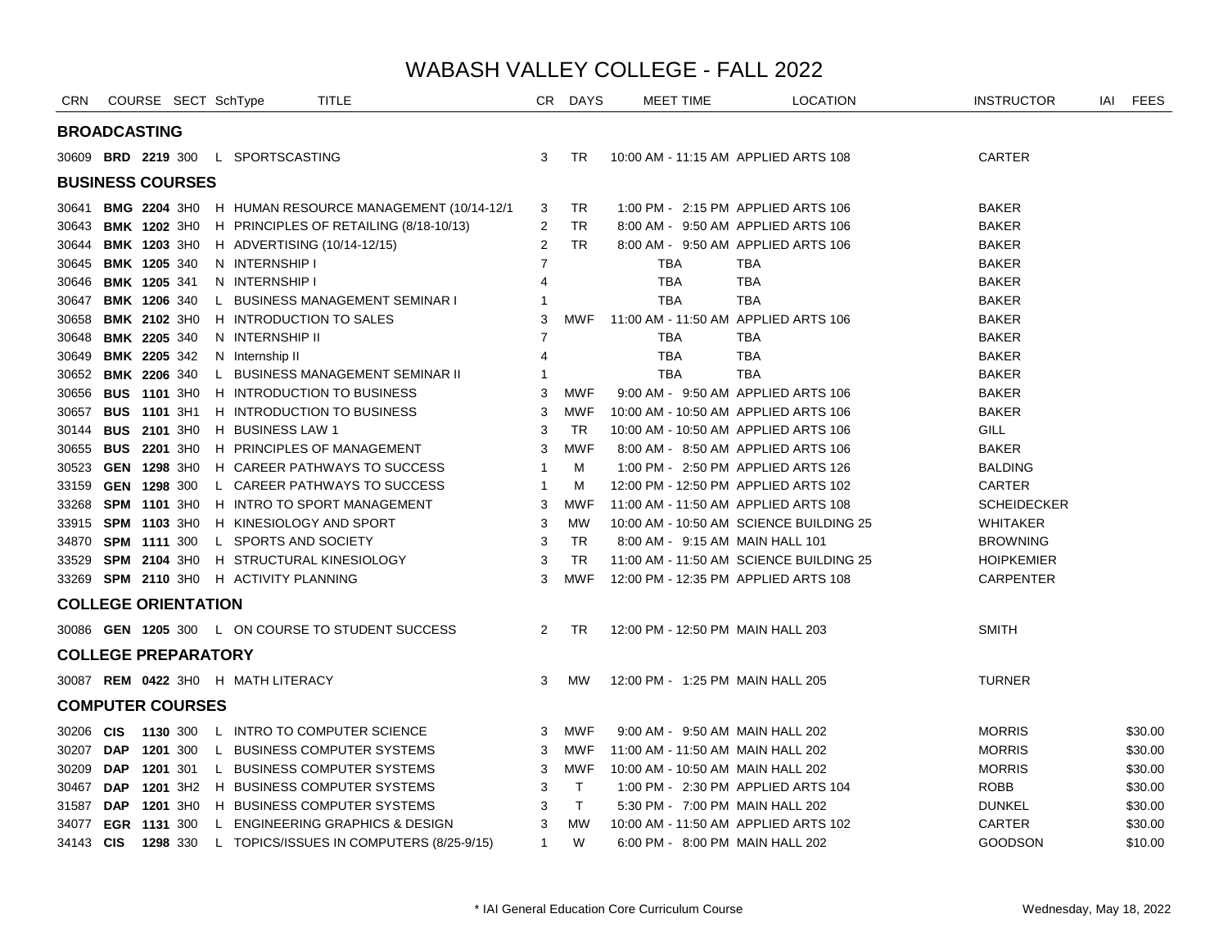| CRN       |                     | COURSE SECT SchType        |                                    | <b>TITLE</b>                                               |                | CR DAYS    | <b>MEET TIME</b>                        | <b>LOCATION</b>                    | <b>INSTRUCTOR</b>  | IAI FEES |
|-----------|---------------------|----------------------------|------------------------------------|------------------------------------------------------------|----------------|------------|-----------------------------------------|------------------------------------|--------------------|----------|
|           | <b>BROADCASTING</b> |                            |                                    |                                                            |                |            |                                         |                                    |                    |          |
|           |                     |                            | 30609 BRD 2219 300 L SPORTSCASTING |                                                            | 3              | <b>TR</b>  | 10:00 AM - 11:15 AM APPLIED ARTS 108    |                                    | CARTER             |          |
|           |                     | <b>BUSINESS COURSES</b>    |                                    |                                                            |                |            |                                         |                                    |                    |          |
|           |                     |                            |                                    | 30641 BMG 2204 3H0 H HUMAN RESOURCE MANAGEMENT (10/14-12/1 | 3              | TR         |                                         | 1:00 PM - 2:15 PM APPLIED ARTS 106 | <b>BAKER</b>       |          |
| 30643     |                     | <b>BMK 1202 3H0</b>        |                                    | H PRINCIPLES OF RETAILING (8/18-10/13)                     | 2              | TR.        |                                         | 8:00 AM - 9:50 AM APPLIED ARTS 106 | <b>BAKER</b>       |          |
|           |                     | 30644 BMK 1203 3H0         | H ADVERTISING (10/14-12/15)        |                                                            | 2              | <b>TR</b>  |                                         | 8:00 AM - 9:50 AM APPLIED ARTS 106 | <b>BAKER</b>       |          |
|           |                     | 30645 BMK 1205 340         | N INTERNSHIP I                     |                                                            | $\overline{7}$ |            | <b>TBA</b>                              | <b>TBA</b>                         | <b>BAKER</b>       |          |
|           |                     | 30646 BMK 1205 341         | N INTERNSHIP I                     |                                                            | 4              |            | <b>TBA</b>                              | <b>TBA</b>                         | <b>BAKER</b>       |          |
|           |                     | 30647 BMK 1206 340         |                                    | L BUSINESS MANAGEMENT SEMINAR I                            | $\mathbf 1$    |            | <b>TBA</b>                              | <b>TBA</b>                         | <b>BAKER</b>       |          |
|           |                     | 30658 BMK 2102 3H0         | H INTRODUCTION TO SALES            |                                                            | 3              | <b>MWF</b> | 11:00 AM - 11:50 AM APPLIED ARTS 106    |                                    | <b>BAKER</b>       |          |
|           |                     | 30648 BMK 2205 340         | N INTERNSHIP II                    |                                                            | $\overline{7}$ |            | TBA                                     | <b>TBA</b>                         | <b>BAKER</b>       |          |
|           |                     | 30649 BMK 2205 342         | N Internship II                    |                                                            | 4              |            | <b>TBA</b>                              | <b>TBA</b>                         | <b>BAKER</b>       |          |
|           |                     | 30652 BMK 2206 340         |                                    | L BUSINESS MANAGEMENT SEMINAR II                           | $\mathbf 1$    |            | <b>TBA</b>                              | <b>TBA</b>                         | <b>BAKER</b>       |          |
| 30656     |                     | <b>BUS 1101 3H0</b>        |                                    | H INTRODUCTION TO BUSINESS                                 | 3              | <b>MWF</b> |                                         | 9:00 AM - 9:50 AM APPLIED ARTS 106 | <b>BAKER</b>       |          |
|           |                     | 30657 BUS 1101 3H1         |                                    | H INTRODUCTION TO BUSINESS                                 | 3              | <b>MWF</b> | 10:00 AM - 10:50 AM APPLIED ARTS 106    |                                    | <b>BAKER</b>       |          |
|           |                     | 30144 BUS 2101 3H0         | H BUSINESS LAW 1                   |                                                            | 3              | TR.        | 10:00 AM - 10:50 AM APPLIED ARTS 106    |                                    | <b>GILL</b>        |          |
|           |                     | 30655 <b>BUS 2201</b> 3H0  |                                    | H PRINCIPLES OF MANAGEMENT                                 | 3              | <b>MWF</b> |                                         | 8:00 AM - 8:50 AM APPLIED ARTS 106 | <b>BAKER</b>       |          |
|           |                     | 30523 GEN 1298 3H0         |                                    | H CAREER PATHWAYS TO SUCCESS                               | -1             | м          |                                         | 1:00 PM - 2:50 PM APPLIED ARTS 126 | <b>BALDING</b>     |          |
|           |                     | 33159 GEN 1298 300         |                                    | L CAREER PATHWAYS TO SUCCESS                               | $\overline{1}$ | м          | 12:00 PM - 12:50 PM APPLIED ARTS 102    |                                    | <b>CARTER</b>      |          |
|           |                     | 33268 SPM 1101 3H0         |                                    | H INTRO TO SPORT MANAGEMENT                                | 3              | <b>MWF</b> | 11:00 AM - 11:50 AM APPLIED ARTS 108    |                                    | <b>SCHEIDECKER</b> |          |
|           |                     | 33915 SPM 1103 3H0         | H KINESIOLOGY AND SPORT            |                                                            | 3              | <b>MW</b>  | 10:00 AM - 10:50 AM SCIENCE BUILDING 25 |                                    | <b>WHITAKER</b>    |          |
|           |                     | 34870 SPM 1111 300         | L SPORTS AND SOCIETY               |                                                            | 3              | <b>TR</b>  | 8:00 AM - 9:15 AM MAIN HALL 101         |                                    | <b>BROWNING</b>    |          |
|           |                     | 33529 <b>SPM 2104</b> 3H0  |                                    | H STRUCTURAL KINESIOLOGY                                   | 3              | <b>TR</b>  | 11:00 AM - 11:50 AM SCIENCE BUILDING 25 |                                    | <b>HOIPKEMIER</b>  |          |
|           |                     | 33269 SPM 2110 3H0         | H ACTIVITY PLANNING                |                                                            | 3              | <b>MWF</b> | 12:00 PM - 12:35 PM APPLIED ARTS 108    |                                    | CARPENTER          |          |
|           |                     | <b>COLLEGE ORIENTATION</b> |                                    |                                                            |                |            |                                         |                                    |                    |          |
|           |                     |                            |                                    | 30086 GEN 1205 300 L ON COURSE TO STUDENT SUCCESS          | $\overline{2}$ | TR         | 12:00 PM - 12:50 PM MAIN HALL 203       |                                    | <b>SMITH</b>       |          |
|           |                     | <b>COLLEGE PREPARATORY</b> |                                    |                                                            |                |            |                                         |                                    |                    |          |
|           |                     |                            | 30087 REM 0422 3HO H MATH LITERACY |                                                            | 3              | <b>MW</b>  | 12:00 PM - 1:25 PM MAIN HALL 205        |                                    | <b>TURNER</b>      |          |
|           |                     | <b>COMPUTER COURSES</b>    |                                    |                                                            |                |            |                                         |                                    |                    |          |
| 30206 CIS |                     | 1130 300                   |                                    | L INTRO TO COMPUTER SCIENCE                                | 3              | MWF        | 9:00 AM - 9:50 AM MAIN HALL 202         |                                    | <b>MORRIS</b>      | \$30.00  |
| 30207 DAP |                     | 1201 300                   |                                    | L BUSINESS COMPUTER SYSTEMS                                | 3              | MWF        | 11:00 AM - 11:50 AM MAIN HALL 202       |                                    | <b>MORRIS</b>      | \$30.00  |
| 30209     | DAP                 | 1201 301                   |                                    | L BUSINESS COMPUTER SYSTEMS                                | 3              | MWF        | 10:00 AM - 10:50 AM MAIN HALL 202       |                                    | <b>MORRIS</b>      | \$30.00  |
| 30467 DAP |                     | 1201 3H2                   |                                    | H BUSINESS COMPUTER SYSTEMS                                | 3              | $\top$     |                                         | 1:00 PM - 2:30 PM APPLIED ARTS 104 | <b>ROBB</b>        | \$30.00  |
| 31587 DAP |                     | 1201 3H0                   |                                    | H BUSINESS COMPUTER SYSTEMS                                | 3              | $\top$     | 5:30 PM - 7:00 PM MAIN HALL 202         |                                    | <b>DUNKEL</b>      | \$30.00  |
|           |                     | 34077 EGR 1131 300         |                                    | L ENGINEERING GRAPHICS & DESIGN                            | 3              | <b>MW</b>  | 10:00 AM - 11:50 AM APPLIED ARTS 102    |                                    | CARTER             | \$30.00  |
| 34143 CIS |                     | 1298 330                   |                                    | L TOPICS/ISSUES IN COMPUTERS (8/25-9/15)                   | $\mathbf{1}$   | W          | 6:00 PM - 8:00 PM MAIN HALL 202         |                                    | <b>GOODSON</b>     | \$10.00  |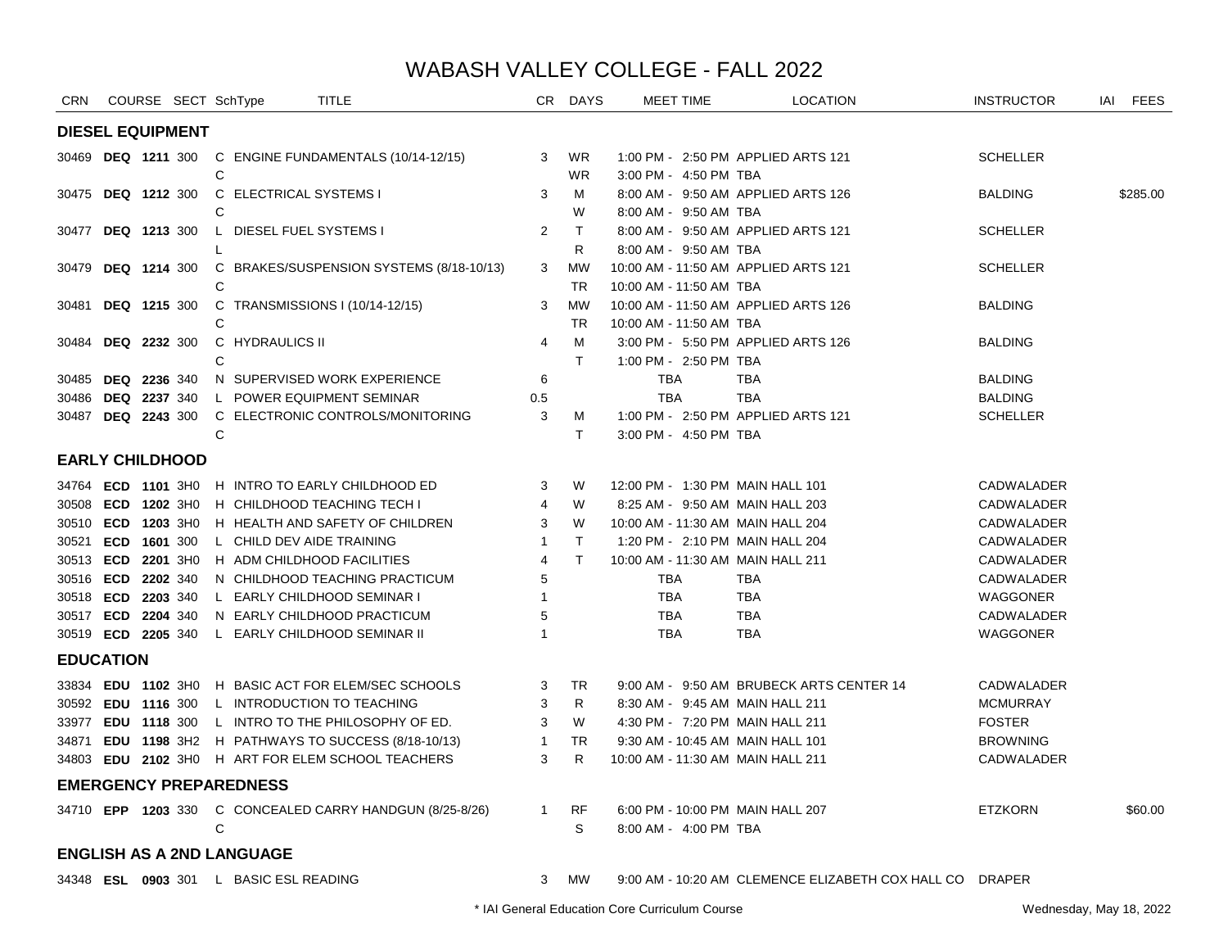| <b>CRN</b>             |                           |                     | COURSE SECT SchType                    | TITLE                                                    | CR.          | <b>DAYS</b> | MEET TIME                         | <b>LOCATION</b>                                          | <b>INSTRUCTOR</b> | IAI | <b>FEES</b> |
|------------------------|---------------------------|---------------------|----------------------------------------|----------------------------------------------------------|--------------|-------------|-----------------------------------|----------------------------------------------------------|-------------------|-----|-------------|
|                        | <b>DIESEL EQUIPMENT</b>   |                     |                                        |                                                          |              |             |                                   |                                                          |                   |     |             |
|                        |                           |                     |                                        | 30469 DEQ 1211 300 C ENGINE FUNDAMENTALS (10/14-12/15)   | 3            | <b>WR</b>   |                                   | 1:00 PM - 2:50 PM APPLIED ARTS 121                       | <b>SCHELLER</b>   |     |             |
|                        |                           |                     | C                                      |                                                          |              | <b>WR</b>   | 3:00 PM - 4:50 PM TBA             |                                                          |                   |     |             |
| 30475                  | <b>DEQ 1212 300</b>       |                     | C ELECTRICAL SYSTEMS I                 |                                                          | 3            | м           |                                   | 8:00 AM - 9:50 AM APPLIED ARTS 126                       | <b>BALDING</b>    |     | \$285.00    |
|                        |                           |                     | С                                      |                                                          |              | W           | 8:00 AM - 9:50 AM TBA             |                                                          |                   |     |             |
|                        | 30477 DEQ 1213 300        |                     | L DIESEL FUEL SYSTEMS I                |                                                          | 2            | T.          |                                   | 8:00 AM - 9:50 AM APPLIED ARTS 121                       | <b>SCHELLER</b>   |     |             |
|                        |                           |                     |                                        |                                                          |              | R.          | 8:00 AM - 9:50 AM TBA             |                                                          |                   |     |             |
| 30479                  |                           | <b>DEQ 1214 300</b> |                                        | C BRAKES/SUSPENSION SYSTEMS (8/18-10/13)                 | 3            | <b>MW</b>   |                                   | 10:00 AM - 11:50 AM APPLIED ARTS 121                     | <b>SCHELLER</b>   |     |             |
|                        |                           |                     | C                                      |                                                          |              | <b>TR</b>   | 10:00 AM - 11:50 AM TBA           |                                                          |                   |     |             |
|                        | 30481 DEQ 1215 300        |                     |                                        | C TRANSMISSIONS I (10/14-12/15)                          | 3            | <b>MW</b>   |                                   | 10:00 AM - 11:50 AM APPLIED ARTS 126                     | <b>BALDING</b>    |     |             |
|                        |                           |                     | C                                      |                                                          |              | TR          | 10:00 AM - 11:50 AM TBA           |                                                          |                   |     |             |
| 30484                  |                           | <b>DEQ 2232 300</b> | C HYDRAULICS II                        |                                                          | 4            | м           |                                   | 3:00 PM - 5:50 PM APPLIED ARTS 126                       | <b>BALDING</b>    |     |             |
|                        |                           |                     | C                                      |                                                          |              | T.          | 1:00 PM - 2:50 PM TBA             |                                                          |                   |     |             |
| 30485                  | DEQ 2236 340              |                     |                                        | N SUPERVISED WORK EXPERIENCE                             | 6            |             | <b>TBA</b>                        | TBA                                                      | <b>BALDING</b>    |     |             |
| 30486                  | <b>DEQ 2237 340</b>       |                     |                                        | L POWER EQUIPMENT SEMINAR                                | 0.5          |             | <b>TBA</b>                        | <b>TBA</b>                                               | <b>BALDING</b>    |     |             |
|                        | 30487 <b>DEQ 2243</b> 300 |                     |                                        | C ELECTRONIC CONTROLS/MONITORING                         | 3            | M           |                                   | 1:00 PM - 2:50 PM APPLIED ARTS 121                       | <b>SCHELLER</b>   |     |             |
|                        |                           |                     | $\mathsf{C}$                           |                                                          |              | T.          | 3:00 PM - 4:50 PM TBA             |                                                          |                   |     |             |
| <b>EARLY CHILDHOOD</b> |                           |                     |                                        |                                                          |              |             |                                   |                                                          |                   |     |             |
|                        | 34764 ECD 1101 3H0        |                     |                                        | H INTRO TO EARLY CHILDHOOD ED                            | 3            | W           | 12:00 PM - 1:30 PM MAIN HALL 101  |                                                          | CADWALADER        |     |             |
|                        | 30508 ECD 1202 3H0        |                     |                                        | H CHILDHOOD TEACHING TECH I                              | 4            | W           | 8:25 AM - 9:50 AM MAIN HALL 203   |                                                          | CADWALADER        |     |             |
|                        | 30510 ECD 1203 3H0        |                     |                                        | H HEALTH AND SAFETY OF CHILDREN                          | 3            | W           | 10:00 AM - 11:30 AM MAIN HALL 204 |                                                          | CADWALADER        |     |             |
|                        | 30521 ECD 1601 300        |                     |                                        | L CHILD DEV AIDE TRAINING                                | $\mathbf{1}$ | T.          | 1:20 PM - 2:10 PM MAIN HALL 204   |                                                          | CADWALADER        |     |             |
|                        | 30513 ECD 2201 3H0        |                     |                                        | H ADM CHILDHOOD FACILITIES                               | 4            | T.          | 10:00 AM - 11:30 AM MAIN HALL 211 |                                                          | CADWALADER        |     |             |
|                        | 30516 ECD 2202 340        |                     |                                        | N CHILDHOOD TEACHING PRACTICUM                           | 5            |             | <b>TBA</b>                        | <b>TBA</b>                                               | CADWALADER        |     |             |
|                        | 30518 ECD 2203 340        |                     |                                        | L EARLY CHILDHOOD SEMINAR I                              | 1            |             | <b>TBA</b>                        | <b>TBA</b>                                               | WAGGONER          |     |             |
|                        | 30517 ECD 2204 340        |                     |                                        | N EARLY CHILDHOOD PRACTICUM                              | 5            |             | <b>TBA</b>                        | <b>TBA</b>                                               | CADWALADER        |     |             |
| 30519 ECD 2205 340     |                           |                     |                                        | L EARLY CHILDHOOD SEMINAR II                             | -1           |             | <b>TBA</b>                        | <b>TBA</b>                                               | WAGGONER          |     |             |
| <b>EDUCATION</b>       |                           |                     |                                        |                                                          |              |             |                                   |                                                          |                   |     |             |
|                        | 33834 EDU 1102 3H0        |                     |                                        | H BASIC ACT FOR ELEM/SEC SCHOOLS                         | 3            | TR.         |                                   | 9:00 AM - 9:50 AM BRUBECK ARTS CENTER 14                 | CADWALADER        |     |             |
|                        | 30592 EDU 1116 300        |                     |                                        | L INTRODUCTION TO TEACHING                               | 3            | R           | 8:30 AM - 9:45 AM MAIN HALL 211   |                                                          | <b>MCMURRAY</b>   |     |             |
|                        | 33977 EDU 1118 300        |                     |                                        | L INTRO TO THE PHILOSOPHY OF ED.                         | 3            | W           | 4:30 PM - 7:20 PM MAIN HALL 211   |                                                          | <b>FOSTER</b>     |     |             |
|                        |                           |                     |                                        | 34871 EDU 1198 3H2 H PATHWAYS TO SUCCESS (8/18-10/13)    | $\mathbf{1}$ | TR.         | 9:30 AM - 10:45 AM MAIN HALL 101  |                                                          | <b>BROWNING</b>   |     |             |
|                        |                           |                     |                                        | 34803 EDU 2102 3H0 H ART FOR ELEM SCHOOL TEACHERS        | 3            | R.          | 10:00 AM - 11:30 AM MAIN HALL 211 |                                                          | CADWALADER        |     |             |
|                        |                           |                     | <b>EMERGENCY PREPAREDNESS</b>          |                                                          |              |             |                                   |                                                          |                   |     |             |
|                        |                           |                     |                                        | 34710 EPP 1203 330 C CONCEALED CARRY HANDGUN (8/25-8/26) | $\mathbf{1}$ | RF          | 6:00 PM - 10:00 PM MAIN HALL 207  |                                                          | <b>ETZKORN</b>    |     | \$60.00     |
|                        |                           |                     | C                                      |                                                          |              | S           | 8:00 AM - 4:00 PM TBA             |                                                          |                   |     |             |
|                        |                           |                     | <b>ENGLISH AS A 2ND LANGUAGE</b>       |                                                          |              |             |                                   |                                                          |                   |     |             |
|                        |                           |                     | 34348 ESL 0903 301 L BASIC ESL READING |                                                          | 3            | <b>MW</b>   |                                   | 9:00 AM - 10:20 AM CLEMENCE ELIZABETH COX HALL CO DRAPER |                   |     |             |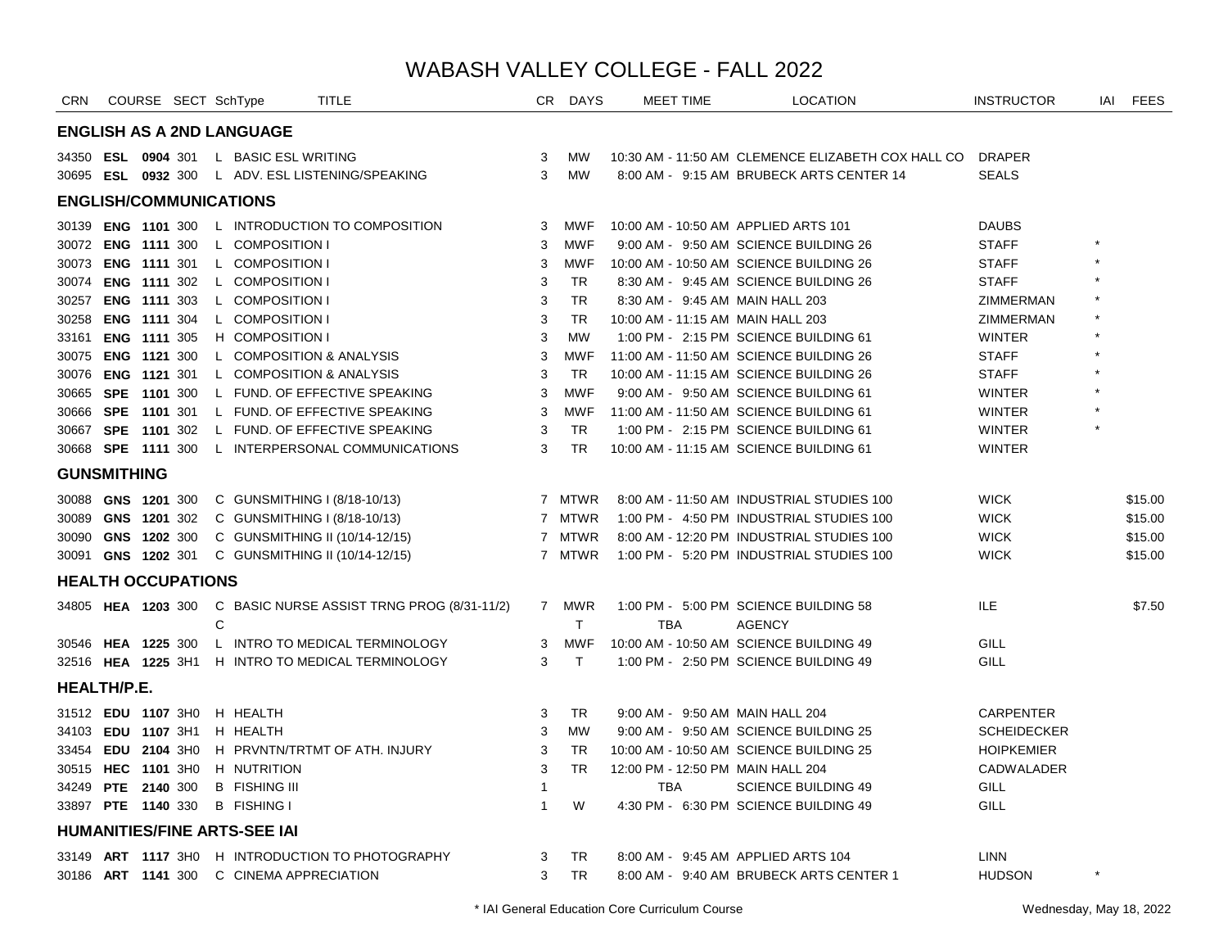| <b>ENGLISH AS A 2ND LANGUAGE</b>                                                                                      |                    |         |
|-----------------------------------------------------------------------------------------------------------------------|--------------------|---------|
| 34350 <b>ESL 0904</b> 301 L BASIC ESL WRITING<br>10:30 AM - 11:50 AM CLEMENCE ELIZABETH COX HALL CO DRAPER<br>3<br>MW |                    |         |
| 30695 ESL 0932 300 L ADV. ESL LISTENING/SPEAKING<br>3<br><b>MW</b><br>8:00 AM - 9:15 AM BRUBECK ARTS CENTER 14        | <b>SEALS</b>       |         |
| <b>ENGLISH/COMMUNICATIONS</b>                                                                                         |                    |         |
| L INTRODUCTION TO COMPOSITION<br>10:00 AM - 10:50 AM APPLIED ARTS 101<br>30139 ENG 1101 300<br>3<br><b>MWF</b>        | <b>DAUBS</b>       |         |
| L COMPOSITION I<br>9:00 AM - 9:50 AM SCIENCE BUILDING 26<br>30072 ENG 1111 300<br>3<br><b>MWF</b>                     | <b>STAFF</b>       |         |
| 30073 ENG 1111 301<br>L COMPOSITION I<br>3<br><b>MWF</b><br>10:00 AM - 10:50 AM SCIENCE BUILDING 26                   | <b>STAFF</b>       |         |
| <b>ENG 1111 302</b><br>L COMPOSITION I<br>30074<br>3<br>TR.<br>8:30 AM - 9:45 AM SCIENCE BUILDING 26                  | <b>STAFF</b>       |         |
| 3<br>30257 ENG 1111 303<br>L COMPOSITION I<br>TR.<br>8:30 AM - 9:45 AM MAIN HALL 203                                  | ZIMMERMAN          |         |
| L COMPOSITION I<br>10:00 AM - 11:15 AM MAIN HALL 203<br>30258 ENG 1111 304<br>3<br>TR.                                | ZIMMERMAN          |         |
| 3<br>33161 ENG 1111 305<br><b>H COMPOSITION I</b><br><b>MW</b><br>1:00 PM - 2:15 PM SCIENCE BUILDING 61               | <b>WINTER</b>      |         |
| 3<br>30075 ENG 1121 300<br>L COMPOSITION & ANALYSIS<br><b>MWF</b><br>11:00 AM - 11:50 AM SCIENCE BUILDING 26          | <b>STAFF</b>       |         |
| 3<br>30076 ENG 1121 301<br>L COMPOSITION & ANALYSIS<br>TR.<br>10:00 AM - 11:15 AM SCIENCE BUILDING 26                 | <b>STAFF</b>       |         |
| 3<br>9:00 AM - 9:50 AM SCIENCE BUILDING 61<br>30665 SPE 1101 300<br>L FUND. OF EFFECTIVE SPEAKING<br><b>MWF</b>       | <b>WINTER</b>      |         |
| 30666 SPE 1101 301<br>L FUND. OF EFFECTIVE SPEAKING<br><b>MWF</b><br>11:00 AM - 11:50 AM SCIENCE BUILDING 61<br>3     | <b>WINTER</b>      |         |
| 30667 SPE 1101 302<br>L FUND. OF EFFECTIVE SPEAKING<br>3<br>TR.<br>1:00 PM - 2:15 PM SCIENCE BUILDING 61              | <b>WINTER</b>      |         |
| 30668 SPE 1111 300<br>L INTERPERSONAL COMMUNICATIONS<br>3<br>TR.<br>10:00 AM - 11:15 AM SCIENCE BUILDING 61           | <b>WINTER</b>      |         |
| <b>GUNSMITHING</b>                                                                                                    |                    |         |
| 7 MTWR<br>30088 GNS 1201 300<br>C GUNSMITHING I (8/18-10/13)<br>8:00 AM - 11:50 AM INDUSTRIAL STUDIES 100             | <b>WICK</b>        | \$15.00 |
| 1:00 PM - 4:50 PM INDUSTRIAL STUDIES 100<br>30089 GNS 1201 302<br>C GUNSMITHING I (8/18-10/13)<br>7 MTWR              | <b>WICK</b>        | \$15.00 |
| 7 MTWR<br>8:00 AM - 12:20 PM INDUSTRIAL STUDIES 100<br>30090 GNS 1202 300<br>C GUNSMITHING II (10/14-12/15)           | <b>WICK</b>        | \$15.00 |
| 1:00 PM - 5:20 PM INDUSTRIAL STUDIES 100<br>30091 GNS 1202 301<br>C GUNSMITHING II (10/14-12/15)<br>7 MTWR            | <b>WICK</b>        | \$15.00 |
| <b>HEALTH OCCUPATIONS</b>                                                                                             |                    |         |
| C BASIC NURSE ASSIST TRNG PROG (8/31-11/2)<br>7 MWR<br>1:00 PM - 5:00 PM SCIENCE BUILDING 58<br>34805 HEA 1203 300    | ILE                | \$7.50  |
| C<br>T.<br><b>TBA</b><br><b>AGENCY</b>                                                                                |                    |         |
| L INTRO TO MEDICAL TERMINOLOGY<br>10:00 AM - 10:50 AM SCIENCE BUILDING 49<br>30546 HEA 1225 300<br>3<br><b>MWF</b>    | GILL               |         |
| 32516 HEA 1225 3H1 H INTRO TO MEDICAL TERMINOLOGY<br>3<br>T<br>1:00 PM - 2:50 PM SCIENCE BUILDING 49                  | GILL               |         |
| <b>HEALTH/P.E.</b>                                                                                                    |                    |         |
| H HEALTH<br>31512 EDU 1107 3H0<br>TR<br>9:00 AM - 9:50 AM MAIN HALL 204<br>3                                          | <b>CARPENTER</b>   |         |
| 34103 EDU 1107 3H1<br>H HEALTH<br>3<br><b>MW</b><br>9:00 AM - 9:50 AM SCIENCE BUILDING 25                             | <b>SCHEIDECKER</b> |         |
| 33454 EDU 2104 3H0<br>H PRVNTN/TRTMT OF ATH. INJURY<br>3<br>TR<br>10:00 AM - 10:50 AM SCIENCE BUILDING 25             | <b>HOIPKEMIER</b>  |         |
| 30515 HEC 1101 3H0<br>H NUTRITION<br>3<br><b>TR</b><br>12:00 PM - 12:50 PM MAIN HALL 204                              | <b>CADWALADER</b>  |         |
| 34249 PTE 2140 300<br><b>B</b> FISHING III<br><b>TBA</b><br><b>SCIENCE BUILDING 49</b><br>1                           | GILL               |         |
| 33897 PTE 1140 330<br><b>B FISHING I</b><br>W<br>4:30 PM - 6:30 PM SCIENCE BUILDING 49<br>$\mathbf{1}$                | GILL               |         |
| <b>HUMANITIES/FINE ARTS-SEE IAI</b>                                                                                   |                    |         |
| <b>TR</b><br>33149 ART 1117 3H0 H INTRODUCTION TO PHOTOGRAPHY<br>3<br>8:00 AM - 9:45 AM APPLIED ARTS 104              | <b>LINN</b>        |         |
| 30186 ART 1141 300 C CINEMA APPRECIATION<br>3<br><b>TR</b><br>8:00 AM - 9:40 AM BRUBECK ARTS CENTER 1                 | <b>HUDSON</b>      |         |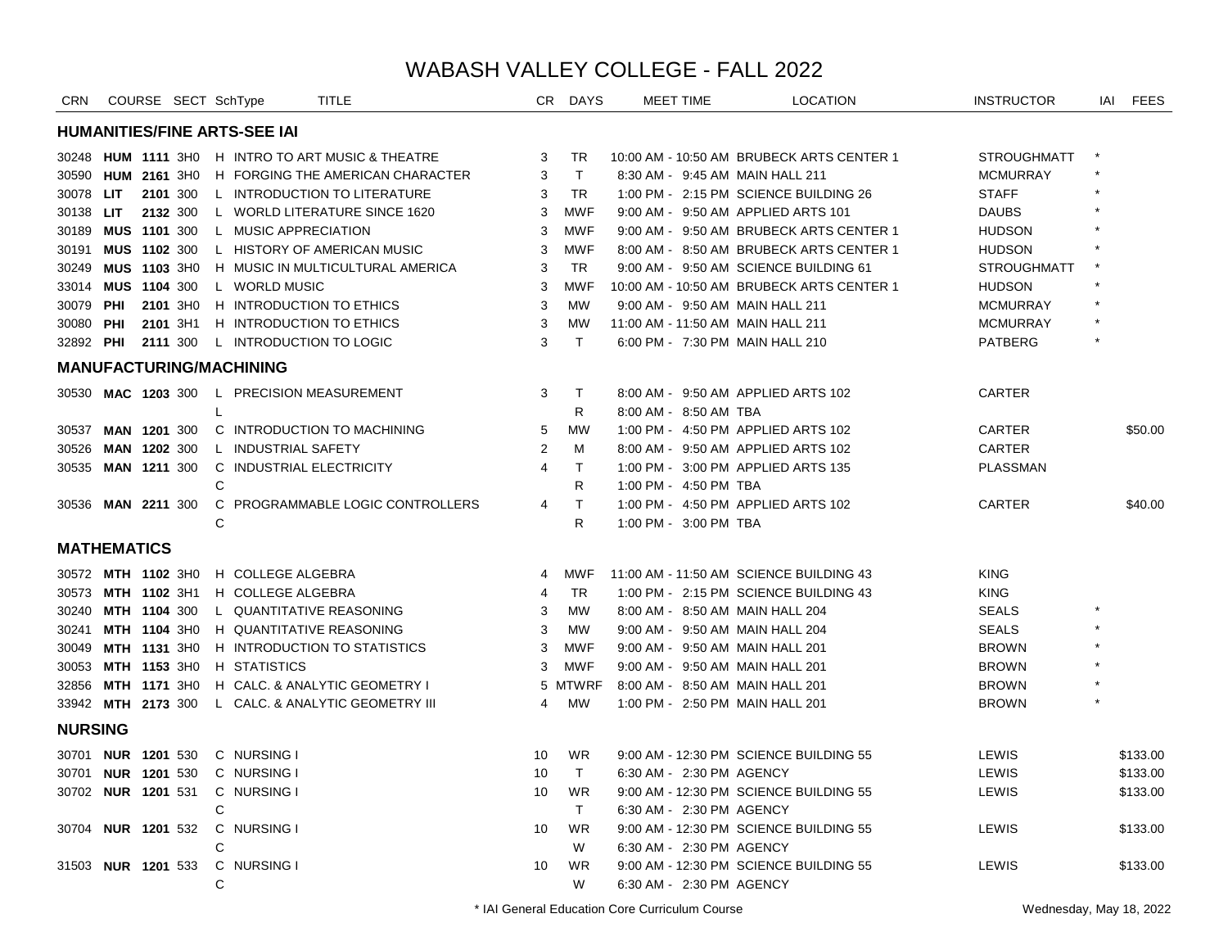| <b>CRN</b>     |                    | COURSE SECT SchType       |                                     | <b>TITLE</b>                                      | CR.            | DAYS         | <b>MEET TIME</b>         | <b>LOCATION</b>                           | <b>INSTRUCTOR</b>  | IAI FEES |
|----------------|--------------------|---------------------------|-------------------------------------|---------------------------------------------------|----------------|--------------|--------------------------|-------------------------------------------|--------------------|----------|
|                |                    |                           | <b>HUMANITIES/FINE ARTS-SEE IAI</b> |                                                   |                |              |                          |                                           |                    |          |
|                |                    |                           |                                     | 30248 HUM 1111 3H0 H INTRO TO ART MUSIC & THEATRE | 3              | <b>TR</b>    |                          | 10:00 AM - 10:50 AM BRUBECK ARTS CENTER 1 | <b>STROUGHMATT</b> |          |
|                |                    | 30590 HUM 2161 3H0        |                                     | H FORGING THE AMERICAN CHARACTER                  | 3              | $\mathsf{T}$ |                          | 8:30 AM - 9:45 AM MAIN HALL 211           | <b>MCMURRAY</b>    |          |
| 30078 LIT      |                    | 2101 300                  |                                     | L INTRODUCTION TO LITERATURE                      | 3              | <b>TR</b>    |                          | 1:00 PM - 2:15 PM SCIENCE BUILDING 26     | <b>STAFF</b>       |          |
| 30138 LIT      |                    | 2132 300                  |                                     | L WORLD LITERATURE SINCE 1620                     | 3              | <b>MWF</b>   |                          | 9:00 AM - 9:50 AM APPLIED ARTS 101        | <b>DAUBS</b>       |          |
|                |                    | 30189 MUS 1101 300        | L MUSIC APPRECIATION                |                                                   | 3              | <b>MWF</b>   |                          | 9:00 AM - 9:50 AM BRUBECK ARTS CENTER 1   | <b>HUDSON</b>      |          |
| 30191          |                    | MUS 1102 300              |                                     | L HISTORY OF AMERICAN MUSIC                       | 3              | <b>MWF</b>   |                          | 8:00 AM - 8:50 AM BRUBECK ARTS CENTER 1   | <b>HUDSON</b>      |          |
| 30249          |                    | MUS 1103 3H0              |                                     | H MUSIC IN MULTICULTURAL AMERICA                  | 3              | <b>TR</b>    |                          | 9:00 AM - 9:50 AM SCIENCE BUILDING 61     | <b>STROUGHMATT</b> |          |
|                |                    | 33014 MUS 1104 300        | L WORLD MUSIC                       |                                                   | 3              | <b>MWF</b>   |                          | 10:00 AM - 10:50 AM BRUBECK ARTS CENTER 1 | <b>HUDSON</b>      |          |
| 30079          | PHI                | 2101 3H0                  |                                     | H INTRODUCTION TO ETHICS                          | 3              | <b>MW</b>    |                          | 9:00 AM - 9:50 AM MAIN HALL 211           | <b>MCMURRAY</b>    |          |
| 30080 PHI      |                    | 2101 3H1                  |                                     | H INTRODUCTION TO ETHICS                          | 3              | <b>MW</b>    |                          | 11:00 AM - 11:50 AM MAIN HALL 211         | <b>MCMURRAY</b>    |          |
| 32892 PHI      |                    | 2111 300                  |                                     | L INTRODUCTION TO LOGIC                           | 3              | $\mathsf{T}$ |                          | 6:00 PM - 7:30 PM MAIN HALL 210           | <b>PATBERG</b>     |          |
|                |                    |                           | <b>MANUFACTURING/MACHINING</b>      |                                                   |                |              |                          |                                           |                    |          |
|                |                    | 30530 MAC 1203 300        |                                     | L PRECISION MEASUREMENT                           | 3              | $\mathsf{T}$ |                          | 8:00 AM - 9:50 AM APPLIED ARTS 102        | CARTER             |          |
|                |                    |                           | L                                   |                                                   |                | R.           | 8:00 AM - 8:50 AM TBA    |                                           |                    |          |
| 30537          |                    | <b>MAN 1201 300</b>       |                                     | C INTRODUCTION TO MACHINING                       | 5              | <b>MW</b>    |                          | 1:00 PM - 4:50 PM APPLIED ARTS 102        | <b>CARTER</b>      | \$50.00  |
| 30526          |                    | MAN 1202 300              | L INDUSTRIAL SAFETY                 |                                                   | 2              | М            |                          | 8:00 AM - 9:50 AM APPLIED ARTS 102        | <b>CARTER</b>      |          |
| 30535          |                    | <b>MAN 1211 300</b>       |                                     | C INDUSTRIAL ELECTRICITY                          | $\overline{4}$ | T            |                          | 1:00 PM - 3:00 PM APPLIED ARTS 135        | <b>PLASSMAN</b>    |          |
|                |                    |                           | C                                   |                                                   |                | R            | 1:00 PM - 4:50 PM TBA    |                                           |                    |          |
|                |                    | 30536 MAN 2211 300        |                                     | C PROGRAMMABLE LOGIC CONTROLLERS                  | 4              | $\mathsf T$  |                          | 1:00 PM - 4:50 PM APPLIED ARTS 102        | CARTER             | \$40.00  |
|                |                    |                           | C                                   |                                                   |                | R            | 1:00 PM - 3:00 PM TBA    |                                           |                    |          |
|                | <b>MATHEMATICS</b> |                           |                                     |                                                   |                |              |                          |                                           |                    |          |
|                |                    | 30572 MTH 1102 3H0        | H COLLEGE ALGEBRA                   |                                                   | 4              | <b>MWF</b>   |                          | 11:00 AM - 11:50 AM SCIENCE BUILDING 43   | <b>KING</b>        |          |
|                |                    | 30573 MTH 1102 3H1        | H COLLEGE ALGEBRA                   |                                                   | 4              | <b>TR</b>    |                          | 1:00 PM - 2:15 PM SCIENCE BUILDING 43     | <b>KING</b>        |          |
|                |                    | 30240 MTH 1104 300        |                                     | L QUANTITATIVE REASONING                          | 3              | <b>MW</b>    |                          | 8:00 AM - 8:50 AM MAIN HALL 204           | <b>SEALS</b>       |          |
| 30241          |                    | MTH 1104 3H0              |                                     | H QUANTITATIVE REASONING                          | 3              | MW           |                          | 9:00 AM - 9:50 AM MAIN HALL 204           | <b>SEALS</b>       |          |
|                |                    | 30049 MTH 1131 3H0        |                                     | H INTRODUCTION TO STATISTICS                      | 3              | <b>MWF</b>   |                          | 9:00 AM - 9:50 AM MAIN HALL 201           | <b>BROWN</b>       |          |
|                |                    | 30053 MTH 1153 3H0        | H STATISTICS                        |                                                   | 3              | <b>MWF</b>   |                          | 9:00 AM - 9:50 AM MAIN HALL 201           | <b>BROWN</b>       |          |
|                |                    | 32856 MTH 1171 3H0        |                                     | H CALC. & ANALYTIC GEOMETRY I                     |                | 5 MTWRF      |                          | 8:00 AM - 8:50 AM MAIN HALL 201           | <b>BROWN</b>       |          |
|                |                    | 33942 MTH 2173 300        |                                     | L CALC. & ANALYTIC GEOMETRY III                   | 4              | MW           |                          | 1:00 PM - 2:50 PM MAIN HALL 201           | <b>BROWN</b>       |          |
| <b>NURSING</b> |                    |                           |                                     |                                                   |                |              |                          |                                           |                    |          |
|                |                    | 30701 <b>NUR 1201</b> 530 | C NURSING I                         |                                                   | 10             | WR           |                          | 9:00 AM - 12:30 PM SCIENCE BUILDING 55    | <b>LEWIS</b>       | \$133.00 |
|                |                    | 30701 <b>NUR 1201</b> 530 | C NURSING I                         |                                                   | 10             | $\mathsf{T}$ | 6:30 AM - 2:30 PM AGENCY |                                           | LEWIS              | \$133.00 |
|                |                    | 30702 <b>NUR 1201</b> 531 | C NURSING I                         |                                                   | 10             | <b>WR</b>    |                          | 9:00 AM - 12:30 PM SCIENCE BUILDING 55    | LEWIS              | \$133.00 |
|                |                    |                           | C                                   |                                                   |                | T            | 6:30 AM - 2:30 PM AGENCY |                                           |                    |          |
|                |                    | 30704 <b>NUR 1201</b> 532 | C NURSING I                         |                                                   | 10             | <b>WR</b>    |                          | 9:00 AM - 12:30 PM SCIENCE BUILDING 55    | LEWIS              | \$133.00 |
|                |                    |                           | C                                   |                                                   |                | W            | 6:30 AM - 2:30 PM AGENCY |                                           |                    |          |
|                |                    | 31503 NUR 1201 533        | C NURSING I                         |                                                   | 10             | <b>WR</b>    |                          | 9:00 AM - 12:30 PM SCIENCE BUILDING 55    | LEWIS              | \$133.00 |
|                |                    |                           | C                                   |                                                   |                | W            | 6:30 AM - 2:30 PM AGENCY |                                           |                    |          |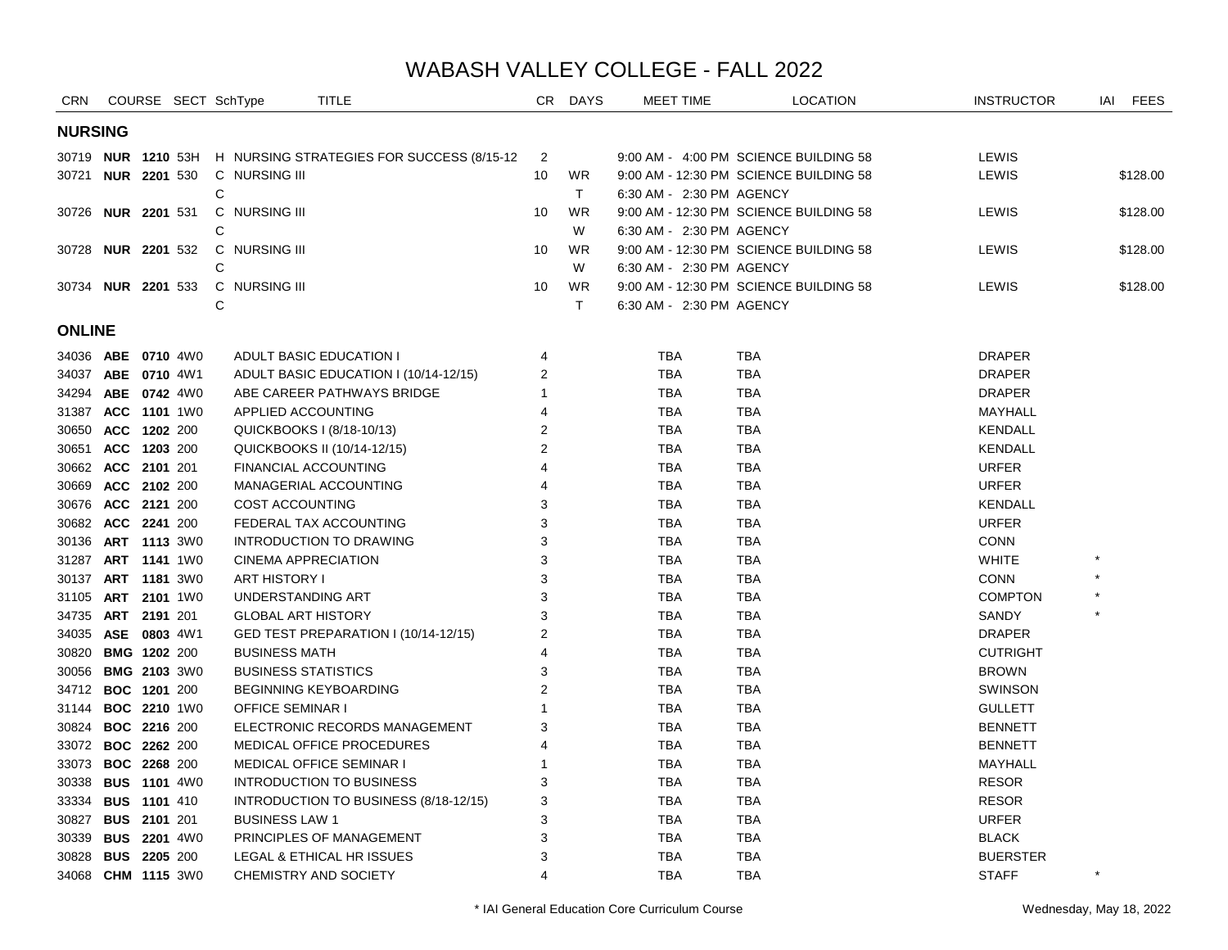| CRN                       |                     | COURSE SECT SchType  | TITLE                                     |                | CR DAYS   | <b>MEET TIME</b>         | <b>LOCATION</b>                        | <b>INSTRUCTOR</b> | IAI     | <b>FEES</b> |
|---------------------------|---------------------|----------------------|-------------------------------------------|----------------|-----------|--------------------------|----------------------------------------|-------------------|---------|-------------|
| <b>NURSING</b>            |                     |                      |                                           |                |           |                          |                                        |                   |         |             |
| 30719 <b>NUR 1210</b> 53H |                     |                      | H NURSING STRATEGIES FOR SUCCESS (8/15-12 | $\overline{2}$ |           |                          | 9:00 AM - 4:00 PM SCIENCE BUILDING 58  | LEWIS             |         |             |
| 30721 <b>NUR 2201</b> 530 |                     | C NURSING III        |                                           | 10             | <b>WR</b> |                          | 9:00 AM - 12:30 PM SCIENCE BUILDING 58 | LEWIS             |         | \$128.00    |
|                           |                     | C                    |                                           |                | T         | 6:30 AM - 2:30 PM AGENCY |                                        |                   |         |             |
| 30726 NUR 2201 531        |                     | C NURSING III        |                                           | 10             | <b>WR</b> |                          | 9:00 AM - 12:30 PM SCIENCE BUILDING 58 | LEWIS             |         | \$128.00    |
|                           |                     | C                    |                                           |                | W         | 6:30 AM - 2:30 PM AGENCY |                                        |                   |         |             |
| 30728 <b>NUR 2201</b> 532 |                     | C NURSING III        |                                           | 10             | <b>WR</b> |                          | 9:00 AM - 12:30 PM SCIENCE BUILDING 58 | LEWIS             |         | \$128.00    |
|                           |                     | C                    |                                           |                | W         | 6:30 AM - 2:30 PM AGENCY |                                        |                   |         |             |
| 30734 NUR 2201 533        |                     | C NURSING III        |                                           | 10             | <b>WR</b> |                          | 9:00 AM - 12:30 PM SCIENCE BUILDING 58 | LEWIS             |         | \$128.00    |
|                           |                     | C                    |                                           |                | T.        | 6:30 AM - 2:30 PM AGENCY |                                        |                   |         |             |
| <b>ONLINE</b>             |                     |                      |                                           |                |           |                          |                                        |                   |         |             |
| 34036 ABE 0710 4W0        |                     |                      | ADULT BASIC EDUCATION I                   | 4              |           | <b>TBA</b>               | TBA                                    | <b>DRAPER</b>     |         |             |
| 34037 ABE 0710 4W1        |                     |                      | ADULT BASIC EDUCATION I (10/14-12/15)     | 2              |           | <b>TBA</b>               | <b>TBA</b>                             | <b>DRAPER</b>     |         |             |
| 34294 ABE 0742 4W0        |                     |                      | ABE CAREER PATHWAYS BRIDGE                | 1              |           | <b>TBA</b>               | TBA                                    | <b>DRAPER</b>     |         |             |
| 31387 ACC 1101 1W0        |                     |                      | APPLIED ACCOUNTING                        | 4              |           | <b>TBA</b>               | <b>TBA</b>                             | MAYHALL           |         |             |
| 30650 ACC 1202 200        |                     |                      | QUICKBOOKS I (8/18-10/13)                 | $\overline{2}$ |           | <b>TBA</b>               | <b>TBA</b>                             | <b>KENDALL</b>    |         |             |
| 30651 ACC 1203 200        |                     |                      | QUICKBOOKS II (10/14-12/15)               | 2              |           | <b>TBA</b>               | <b>TBA</b>                             | <b>KENDALL</b>    |         |             |
| 30662 ACC 2101 201        |                     |                      | <b>FINANCIAL ACCOUNTING</b>               | 4              |           | <b>TBA</b>               | <b>TBA</b>                             | <b>URFER</b>      |         |             |
| 30669 ACC 2102 200        |                     |                      | MANAGERIAL ACCOUNTING                     | 4              |           | <b>TBA</b>               | <b>TBA</b>                             | <b>URFER</b>      |         |             |
| 30676 ACC 2121 200        |                     |                      | COST ACCOUNTING                           | 3              |           | <b>TBA</b>               | TBA                                    | KENDALL           |         |             |
| 30682 ACC 2241 200        |                     |                      | FEDERAL TAX ACCOUNTING                    | 3              |           | <b>TBA</b>               | <b>TBA</b>                             | <b>URFER</b>      |         |             |
| 30136 ART 1113 3W0        |                     |                      | INTRODUCTION TO DRAWING                   | 3              |           | <b>TBA</b>               | <b>TBA</b>                             | <b>CONN</b>       |         |             |
| 31287 ART 1141 1W0        |                     |                      | <b>CINEMA APPRECIATION</b>                | 3              |           | <b>TBA</b>               | <b>TBA</b>                             | <b>WHITE</b>      |         |             |
| 30137                     | ART 1181 3W0        | <b>ART HISTORY I</b> |                                           | 3              |           | <b>TBA</b>               | <b>TBA</b>                             | <b>CONN</b>       |         |             |
| 31105 ART 2101 1W0        |                     |                      | UNDERSTANDING ART                         | 3              |           | <b>TBA</b>               | <b>TBA</b>                             | <b>COMPTON</b>    |         |             |
| 34735 ART 2191 201        |                     |                      | <b>GLOBAL ART HISTORY</b>                 | 3              |           | <b>TBA</b>               | <b>TBA</b>                             | SANDY             |         |             |
| 34035 ASE 0803 4W1        |                     |                      | GED TEST PREPARATION I (10/14-12/15)      | 2              |           | <b>TBA</b>               | <b>TBA</b>                             | <b>DRAPER</b>     |         |             |
| 30820 BMG 1202 200        |                     |                      | <b>BUSINESS MATH</b>                      | 4              |           | <b>TBA</b>               | <b>TBA</b>                             | <b>CUTRIGHT</b>   |         |             |
| 30056 BMG 2103 3W0        |                     |                      | <b>BUSINESS STATISTICS</b>                | 3              |           | <b>TBA</b>               | <b>TBA</b>                             | <b>BROWN</b>      |         |             |
| 34712 BOC 1201 200        |                     |                      | <b>BEGINNING KEYBOARDING</b>              | $\overline{2}$ |           | <b>TBA</b>               | <b>TBA</b>                             | SWINSON           |         |             |
| 31144                     | <b>BOC 2210 1W0</b> |                      | <b>OFFICE SEMINAR I</b>                   |                |           | <b>TBA</b>               | <b>TBA</b>                             | <b>GULLETT</b>    |         |             |
| 30824 BOC 2216 200        |                     |                      | ELECTRONIC RECORDS MANAGEMENT             | 3              |           | <b>TBA</b>               | <b>TBA</b>                             | <b>BENNETT</b>    |         |             |
| 33072 BOC 2262 200        |                     |                      | MEDICAL OFFICE PROCEDURES                 | 4              |           | <b>TBA</b>               | <b>TBA</b>                             | <b>BENNETT</b>    |         |             |
| 33073 BOC 2268 200        |                     |                      | <b>MEDICAL OFFICE SEMINAR I</b>           | 1              |           | <b>TBA</b>               | <b>TBA</b>                             | MAYHALL           |         |             |
| 30338 BUS 1101 4W0        |                     |                      | INTRODUCTION TO BUSINESS                  | 3              |           | <b>TBA</b>               | <b>TBA</b>                             | <b>RESOR</b>      |         |             |
| 33334 BUS 1101 410        |                     |                      | INTRODUCTION TO BUSINESS (8/18-12/15)     | 3              |           | <b>TBA</b>               | <b>TBA</b>                             | <b>RESOR</b>      |         |             |
| 30827 BUS 2101 201        |                     |                      | <b>BUSINESS LAW 1</b>                     | 3              |           | <b>TBA</b>               | <b>TBA</b>                             | <b>URFER</b>      |         |             |
| 30339 BUS 2201 4W0        |                     |                      | PRINCIPLES OF MANAGEMENT                  | 3              |           | <b>TBA</b>               | <b>TBA</b>                             | <b>BLACK</b>      |         |             |
| 30828 BUS 2205 200        |                     |                      | LEGAL & ETHICAL HR ISSUES                 | 3              |           | <b>TBA</b>               | <b>TBA</b>                             | <b>BUERSTER</b>   | $\star$ |             |
| 34068 CHM 1115 3W0        |                     |                      | CHEMISTRY AND SOCIETY                     | 4              |           | <b>TBA</b>               | <b>TBA</b>                             | <b>STAFF</b>      |         |             |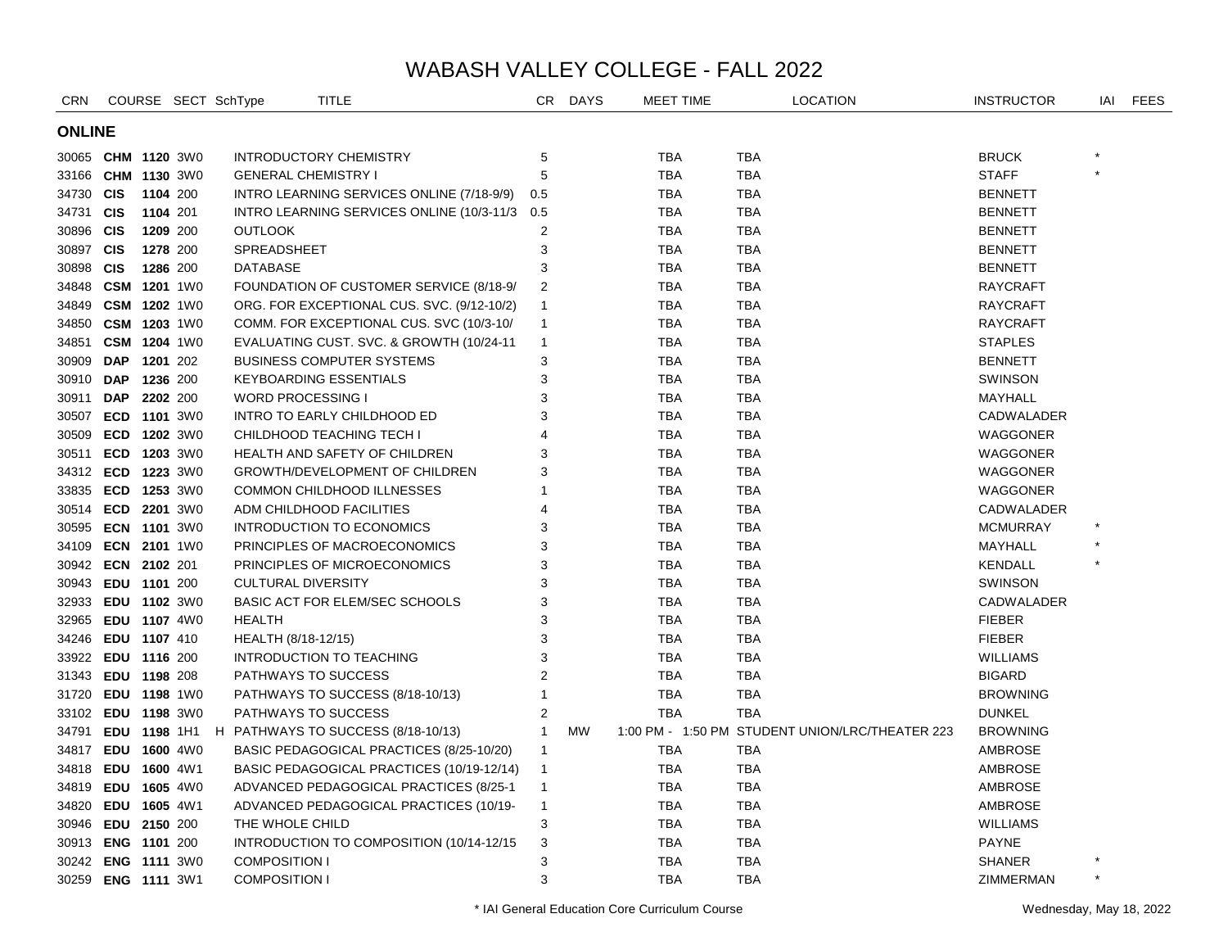| <b>CRN</b>    |                    |          | COURSE SECT SchType |                               | <b>TITLE</b>                                           | CR.                     | <b>DAYS</b> | MEET TIME  |            | <b>LOCATION</b>                                 | <b>INSTRUCTOR</b> | IAI     | <b>FEES</b> |
|---------------|--------------------|----------|---------------------|-------------------------------|--------------------------------------------------------|-------------------------|-------------|------------|------------|-------------------------------------------------|-------------------|---------|-------------|
| <b>ONLINE</b> |                    |          |                     |                               |                                                        |                         |             |            |            |                                                 |                   |         |             |
|               | 30065 CHM 1120 3W0 |          |                     | <b>INTRODUCTORY CHEMISTRY</b> |                                                        | 5                       |             | TBA        | <b>TBA</b> |                                                 | <b>BRUCK</b>      |         |             |
|               | 33166 CHM 1130 3W0 |          |                     | <b>GENERAL CHEMISTRY I</b>    |                                                        | 5                       |             | <b>TBA</b> | <b>TBA</b> |                                                 | <b>STAFF</b>      | $\star$ |             |
| 34730 CIS     |                    | 1104 200 |                     |                               | INTRO LEARNING SERVICES ONLINE (7/18-9/9)              | 0.5                     |             | <b>TBA</b> | <b>TBA</b> |                                                 | <b>BENNETT</b>    |         |             |
| 34731 CIS     |                    | 1104 201 |                     |                               | INTRO LEARNING SERVICES ONLINE (10/3-11/3 0.5          |                         |             | TBA        | <b>TBA</b> |                                                 | <b>BENNETT</b>    |         |             |
| 30896 CIS     |                    | 1209 200 |                     | <b>OUTLOOK</b>                |                                                        | $\overline{\mathbf{c}}$ |             | <b>TBA</b> | <b>TBA</b> |                                                 | <b>BENNETT</b>    |         |             |
| 30897 CIS     |                    | 1278 200 |                     | <b>SPREADSHEET</b>            |                                                        | 3                       |             | TBA        | <b>TBA</b> |                                                 | <b>BENNETT</b>    |         |             |
| 30898 CIS     |                    | 1286 200 |                     | <b>DATABASE</b>               |                                                        | 3                       |             | TBA        | TBA        |                                                 | <b>BENNETT</b>    |         |             |
|               | 34848 CSM          |          | <b>1201</b> 1W0     |                               | FOUNDATION OF CUSTOMER SERVICE (8/18-9/                | 2                       |             | TBA        | <b>TBA</b> |                                                 | <b>RAYCRAFT</b>   |         |             |
|               | 34849 CSM 1202 1W0 |          |                     |                               | ORG. FOR EXCEPTIONAL CUS. SVC. (9/12-10/2)             | $\mathbf{1}$            |             | <b>TBA</b> | <b>TBA</b> |                                                 | <b>RAYCRAFT</b>   |         |             |
|               | 34850 CSM 1203 1W0 |          |                     |                               | COMM. FOR EXCEPTIONAL CUS. SVC (10/3-10/               | $\mathbf{1}$            |             | TBA        | <b>TBA</b> |                                                 | <b>RAYCRAFT</b>   |         |             |
|               | 34851 CSM 1204 1W0 |          |                     |                               | EVALUATING CUST. SVC. & GROWTH (10/24-11               | $\mathbf{1}$            |             | TBA        | <b>TBA</b> |                                                 | <b>STAPLES</b>    |         |             |
| 30909 DAP     |                    | 1201 202 |                     |                               | <b>BUSINESS COMPUTER SYSTEMS</b>                       | 3                       |             | <b>TBA</b> | <b>TBA</b> |                                                 | <b>BENNETT</b>    |         |             |
| 30910 DAP     |                    | 1236 200 |                     | <b>KEYBOARDING ESSENTIALS</b> |                                                        | 3                       |             | <b>TBA</b> | <b>TBA</b> |                                                 | <b>SWINSON</b>    |         |             |
| 30911         | <b>DAP</b>         | 2202 200 |                     | <b>WORD PROCESSING I</b>      |                                                        | 3                       |             | TBA        | <b>TBA</b> |                                                 | MAYHALL           |         |             |
| 30507         | ECD 1101 3W0       |          |                     |                               | INTRO TO EARLY CHILDHOOD ED                            | 3                       |             | TBA        | TBA        |                                                 | CADWALADER        |         |             |
|               | 30509 ECD 1202 3W0 |          |                     | CHILDHOOD TEACHING TECH I     |                                                        | 4                       |             | TBA        | TBA        |                                                 | WAGGONER          |         |             |
| 30511         | ECD 1203 3W0       |          |                     |                               | HEALTH AND SAFETY OF CHILDREN                          | 3                       |             | <b>TBA</b> | TBA        |                                                 | WAGGONER          |         |             |
|               | 34312 ECD 1223 3W0 |          |                     |                               | GROWTH/DEVELOPMENT OF CHILDREN                         | 3                       |             | TBA        | TBA        |                                                 | WAGGONER          |         |             |
|               | 33835 ECD 1253 3W0 |          |                     |                               | COMMON CHILDHOOD ILLNESSES                             | 1                       |             | TBA        | TBA        |                                                 | WAGGONER          |         |             |
|               | 30514 ECD 2201 3W0 |          |                     | ADM CHILDHOOD FACILITIES      |                                                        | 4                       |             | <b>TBA</b> | TBA        |                                                 | CADWALADER        |         |             |
|               | 30595 ECN 1101 3W0 |          |                     |                               | INTRODUCTION TO ECONOMICS                              | 3                       |             | <b>TBA</b> | TBA        |                                                 | <b>MCMURRAY</b>   |         |             |
|               | 34109 ECN 2101 1W0 |          |                     |                               | PRINCIPLES OF MACROECONOMICS                           | 3                       |             | <b>TBA</b> | <b>TBA</b> |                                                 | MAYHALL           |         |             |
|               | 30942 ECN 2102 201 |          |                     |                               | PRINCIPLES OF MICROECONOMICS                           | 3                       |             | <b>TBA</b> | <b>TBA</b> |                                                 | <b>KENDALL</b>    |         |             |
|               | 30943 EDU 1101 200 |          |                     | <b>CULTURAL DIVERSITY</b>     |                                                        | 3                       |             | <b>TBA</b> | <b>TBA</b> |                                                 | <b>SWINSON</b>    |         |             |
|               | 32933 EDU 1102 3W0 |          |                     |                               | <b>BASIC ACT FOR ELEM/SEC SCHOOLS</b>                  | 3                       |             | <b>TBA</b> | <b>TBA</b> |                                                 | CADWALADER        |         |             |
|               | 32965 EDU 1107 4W0 |          |                     | <b>HEALTH</b>                 |                                                        | 3                       |             | <b>TBA</b> | <b>TBA</b> |                                                 | <b>FIEBER</b>     |         |             |
|               | 34246 EDU 1107 410 |          |                     | HEALTH (8/18-12/15)           |                                                        | 3                       |             | <b>TBA</b> | <b>TBA</b> |                                                 | <b>FIEBER</b>     |         |             |
|               | 33922 EDU 1116 200 |          |                     | INTRODUCTION TO TEACHING      |                                                        | 3                       |             | <b>TBA</b> | <b>TBA</b> |                                                 | <b>WILLIAMS</b>   |         |             |
| 31343         | EDU 1198 208       |          |                     | PATHWAYS TO SUCCESS           |                                                        | 2                       |             | <b>TBA</b> | <b>TBA</b> |                                                 | <b>BIGARD</b>     |         |             |
| 31720         | EDU 1198 1W0       |          |                     |                               | PATHWAYS TO SUCCESS (8/18-10/13)                       | 1                       |             | <b>TBA</b> | <b>TBA</b> |                                                 | <b>BROWNING</b>   |         |             |
|               | 33102 EDU 1198 3W0 |          |                     | PATHWAYS TO SUCCESS           |                                                        | $\overline{2}$          |             | <b>TBA</b> | <b>TBA</b> |                                                 | <b>DUNKEL</b>     |         |             |
| 34791         |                    |          |                     |                               | <b>EDU 1198 1H1 H PATHWAYS TO SUCCESS (8/18-10/13)</b> | $\mathbf{1}$            | <b>MW</b>   |            |            | 1:00 PM - 1:50 PM STUDENT UNION/LRC/THEATER 223 | <b>BROWNING</b>   |         |             |
| 34817         | EDU 1600 4W0       |          |                     |                               | BASIC PEDAGOGICAL PRACTICES (8/25-10/20)               | $\mathbf{1}$            |             | <b>TBA</b> | <b>TBA</b> |                                                 | AMBROSE           |         |             |
| 34818 EDU     |                    |          | 1600 4W1            |                               | BASIC PEDAGOGICAL PRACTICES (10/19-12/14)              | $\mathbf{1}$            |             | TBA        | <b>TBA</b> |                                                 | AMBROSE           |         |             |
|               | 34819 EDU          |          | <b>1605 4W0</b>     |                               | ADVANCED PEDAGOGICAL PRACTICES (8/25-1                 | $\mathbf{1}$            |             | TBA        | <b>TBA</b> |                                                 | AMBROSE           |         |             |
|               | 34820 EDU 1605 4W1 |          |                     |                               | ADVANCED PEDAGOGICAL PRACTICES (10/19-                 | $\mathbf{1}$            |             | TBA        | <b>TBA</b> |                                                 | AMBROSE           |         |             |
|               | 30946 EDU 2150 200 |          |                     | THE WHOLE CHILD               |                                                        | 3                       |             | TBA        | TBA        |                                                 | <b>WILLIAMS</b>   |         |             |
|               | 30913 ENG 1101 200 |          |                     |                               | INTRODUCTION TO COMPOSITION (10/14-12/15)              | 3                       |             | TBA        | TBA        |                                                 | <b>PAYNE</b>      |         |             |
|               | 30242 ENG 1111 3W0 |          |                     | <b>COMPOSITION I</b>          |                                                        | 3                       |             | TBA        | TBA        |                                                 | <b>SHANER</b>     |         |             |
|               | 30259 ENG 1111 3W1 |          |                     | <b>COMPOSITION I</b>          |                                                        | 3                       |             | <b>TBA</b> | <b>TBA</b> |                                                 | ZIMMERMAN         | $\star$ |             |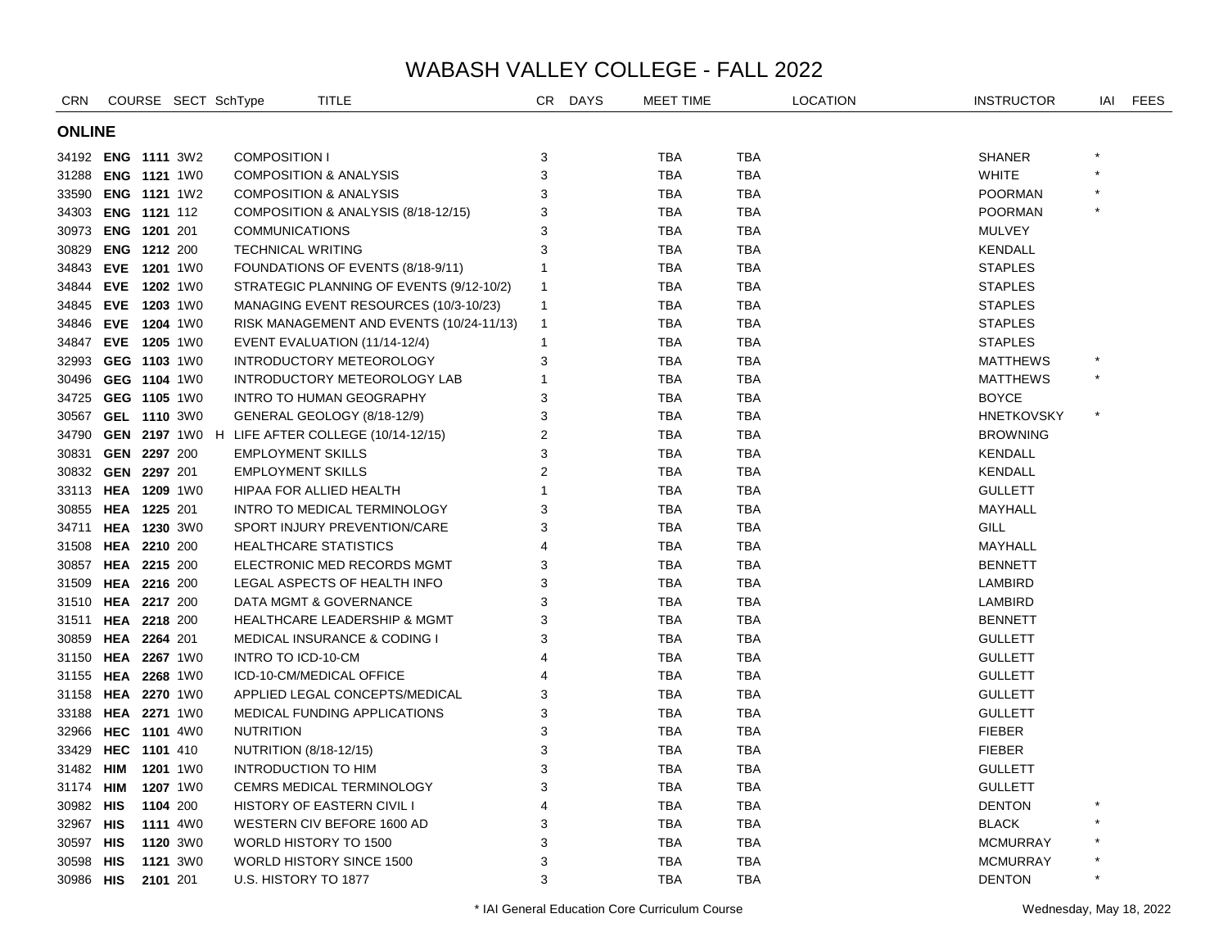| <b>CRN</b>         |                    |          |          | COURSE SECT SchType | <b>TITLE</b>                                          | CR             | <b>DAYS</b> | MEET TIME  |            | <b>LOCATION</b> | <b>INSTRUCTOR</b> | IAI     | <b>FEES</b> |
|--------------------|--------------------|----------|----------|---------------------|-------------------------------------------------------|----------------|-------------|------------|------------|-----------------|-------------------|---------|-------------|
| <b>ONLINE</b>      |                    |          |          |                     |                                                       |                |             |            |            |                 |                   |         |             |
|                    | 34192 ENG 1111 3W2 |          |          |                     | <b>COMPOSITION I</b>                                  | 3              |             | <b>TBA</b> | <b>TBA</b> |                 | <b>SHANER</b>     |         |             |
|                    | 31288 ENG 1121 1W0 |          |          |                     | <b>COMPOSITION &amp; ANALYSIS</b>                     | 3              |             | <b>TBA</b> | <b>TBA</b> |                 | <b>WHITE</b>      |         |             |
|                    | 33590 ENG 1121 1W2 |          |          |                     | <b>COMPOSITION &amp; ANALYSIS</b>                     | 3              |             | <b>TBA</b> | <b>TBA</b> |                 | <b>POORMAN</b>    |         |             |
|                    | 34303 ENG 1121 112 |          |          |                     | COMPOSITION & ANALYSIS (8/18-12/15)                   | 3              |             | <b>TBA</b> | <b>TBA</b> |                 | <b>POORMAN</b>    |         |             |
|                    | 30973 ENG 1201 201 |          |          |                     | <b>COMMUNICATIONS</b>                                 | 3              |             | <b>TBA</b> | <b>TBA</b> |                 | <b>MULVEY</b>     |         |             |
|                    | 30829 ENG 1212 200 |          |          |                     | <b>TECHNICAL WRITING</b>                              | 3              |             | <b>TBA</b> | <b>TBA</b> |                 | <b>KENDALL</b>    |         |             |
|                    | 34843 EVE 1201 1W0 |          |          |                     | FOUNDATIONS OF EVENTS (8/18-9/11)                     | 1              |             | <b>TBA</b> | <b>TBA</b> |                 | <b>STAPLES</b>    |         |             |
|                    | 34844 EVE 1202 1W0 |          |          |                     | STRATEGIC PLANNING OF EVENTS (9/12-10/2)              | $\mathbf{1}$   |             | <b>TBA</b> | <b>TBA</b> |                 | <b>STAPLES</b>    |         |             |
| 34845 EVE 1203 1W0 |                    |          |          |                     | MANAGING EVENT RESOURCES (10/3-10/23)                 | $\mathbf{1}$   |             | <b>TBA</b> | <b>TBA</b> |                 | <b>STAPLES</b>    |         |             |
|                    | 34846 EVE 1204 1W0 |          |          |                     | RISK MANAGEMENT AND EVENTS (10/24-11/13)              | $\mathbf{1}$   |             | <b>TBA</b> | <b>TBA</b> |                 | <b>STAPLES</b>    |         |             |
|                    | 34847 EVE 1205 1W0 |          |          |                     | EVENT EVALUATION (11/14-12/4)                         | $\mathbf{1}$   |             | TBA        | TBA        |                 | <b>STAPLES</b>    |         |             |
|                    | 32993 GEG 1103 1W0 |          |          |                     | INTRODUCTORY METEOROLOGY                              | 3              |             | <b>TBA</b> | TBA        |                 | <b>MATTHEWS</b>   |         |             |
| 30496 GEG 1104 1W0 |                    |          |          |                     | INTRODUCTORY METEOROLOGY LAB                          | 1              |             | <b>TBA</b> | <b>TBA</b> |                 | <b>MATTHEWS</b>   | $\star$ |             |
|                    | 34725 GEG 1105 1W0 |          |          |                     | <b>INTRO TO HUMAN GEOGRAPHY</b>                       | 3              |             | <b>TBA</b> | TBA        |                 | <b>BOYCE</b>      |         |             |
|                    | 30567 GEL 1110 3W0 |          |          |                     | GENERAL GEOLOGY (8/18-12/9)                           | 3              |             | TBA        | TBA        |                 | <b>HNETKOVSKY</b> |         |             |
|                    |                    |          |          |                     | 34790 GEN 2197 1W0 H LIFE AFTER COLLEGE (10/14-12/15) | 2              |             | TBA        | TBA        |                 | <b>BROWNING</b>   |         |             |
| 30831 GEN 2297 200 |                    |          |          |                     | <b>EMPLOYMENT SKILLS</b>                              | 3              |             | <b>TBA</b> | TBA        |                 | <b>KENDALL</b>    |         |             |
|                    | 30832 GEN 2297 201 |          |          |                     | <b>EMPLOYMENT SKILLS</b>                              | $\overline{2}$ |             | TBA        | TBA        |                 | <b>KENDALL</b>    |         |             |
|                    | 33113 HEA 1209 1W0 |          |          |                     | HIPAA FOR ALLIED HEALTH                               | 1              |             | TBA        | TBA        |                 | <b>GULLETT</b>    |         |             |
|                    | 30855 HEA 1225 201 |          |          |                     | INTRO TO MEDICAL TERMINOLOGY                          | 3              |             | <b>TBA</b> | <b>TBA</b> |                 | MAYHALL           |         |             |
| 34711 HEA 1230 3W0 |                    |          |          |                     | SPORT INJURY PREVENTION/CARE                          | 3              |             | <b>TBA</b> | <b>TBA</b> |                 | GILL              |         |             |
| 31508 HEA 2210 200 |                    |          |          |                     | <b>HEALTHCARE STATISTICS</b>                          | 4              |             | <b>TBA</b> | <b>TBA</b> |                 | MAYHALL           |         |             |
|                    | 30857 HEA 2215 200 |          |          |                     | ELECTRONIC MED RECORDS MGMT                           | 3              |             | <b>TBA</b> | <b>TBA</b> |                 | <b>BENNETT</b>    |         |             |
| 31509 HEA 2216 200 |                    |          |          |                     | LEGAL ASPECTS OF HEALTH INFO                          | 3              |             | <b>TBA</b> | <b>TBA</b> |                 | LAMBIRD           |         |             |
| 31510 HEA 2217 200 |                    |          |          |                     | DATA MGMT & GOVERNANCE                                | 3              |             | TBA        | <b>TBA</b> |                 | LAMBIRD           |         |             |
| 31511 HEA 2218 200 |                    |          |          |                     | <b>HEALTHCARE LEADERSHIP &amp; MGMT</b>               | 3              |             | <b>TBA</b> | <b>TBA</b> |                 | <b>BENNETT</b>    |         |             |
|                    | 30859 HEA 2264 201 |          |          |                     | <b>MEDICAL INSURANCE &amp; CODING I</b>               | 3              |             | <b>TBA</b> | <b>TBA</b> |                 | <b>GULLETT</b>    |         |             |
| 31150 HEA 2267 1W0 |                    |          |          |                     | INTRO TO ICD-10-CM                                    | $\overline{4}$ |             | <b>TBA</b> | <b>TBA</b> |                 | <b>GULLETT</b>    |         |             |
| 31155 HEA 2268 1W0 |                    |          |          |                     | ICD-10-CM/MEDICAL OFFICE                              |                |             | <b>TBA</b> | <b>TBA</b> |                 | <b>GULLETT</b>    |         |             |
| 31158 HEA 2270 1W0 |                    |          |          |                     | APPLIED LEGAL CONCEPTS/MEDICAL                        | 3              |             | <b>TBA</b> | <b>TBA</b> |                 | <b>GULLETT</b>    |         |             |
| 33188 HEA 2271 1W0 |                    |          |          |                     | MEDICAL FUNDING APPLICATIONS                          | 3              |             | <b>TBA</b> | <b>TBA</b> |                 | <b>GULLETT</b>    |         |             |
| 32966 HEC 1101 4W0 |                    |          |          | <b>NUTRITION</b>    |                                                       | 3              |             | <b>TBA</b> | <b>TBA</b> |                 | <b>FIEBER</b>     |         |             |
| 33429 HEC 1101 410 |                    |          |          |                     | NUTRITION (8/18-12/15)                                | 3              |             | <b>TBA</b> | <b>TBA</b> |                 | <b>FIEBER</b>     |         |             |
| 31482 HIM          |                    |          | 1201 1W0 |                     | <b>INTRODUCTION TO HIM</b>                            | 3              |             | <b>TBA</b> | TBA        |                 | <b>GULLETT</b>    |         |             |
| 31174 <b>HIM</b>   |                    |          | 1207 1W0 |                     | CEMRS MEDICAL TERMINOLOGY                             | 3              |             | <b>TBA</b> | TBA        |                 | GULLETT           |         |             |
| 30982 HIS          |                    |          | 1104 200 |                     | <b>HISTORY OF EASTERN CIVIL I</b>                     | $\overline{4}$ |             | <b>TBA</b> | TBA        |                 | <b>DENTON</b>     |         |             |
| 32967 HIS          |                    |          | 1111 4W0 |                     | WESTERN CIV BEFORE 1600 AD                            | 3              |             | <b>TBA</b> | TBA        |                 | <b>BLACK</b>      |         |             |
| 30597 HIS          |                    |          | 1120 3W0 |                     | WORLD HISTORY TO 1500                                 | 3              |             | <b>TBA</b> | <b>TBA</b> |                 | <b>MCMURRAY</b>   |         |             |
| 30598 HIS          |                    |          | 1121 3W0 |                     | <b>WORLD HISTORY SINCE 1500</b>                       | 3              |             | <b>TBA</b> | <b>TBA</b> |                 | MCMURRAY          |         |             |
| 30986 HIS          |                    | 2101 201 |          |                     | U.S. HISTORY TO 1877                                  | 3              |             | <b>TBA</b> | <b>TBA</b> |                 | <b>DENTON</b>     | $\star$ |             |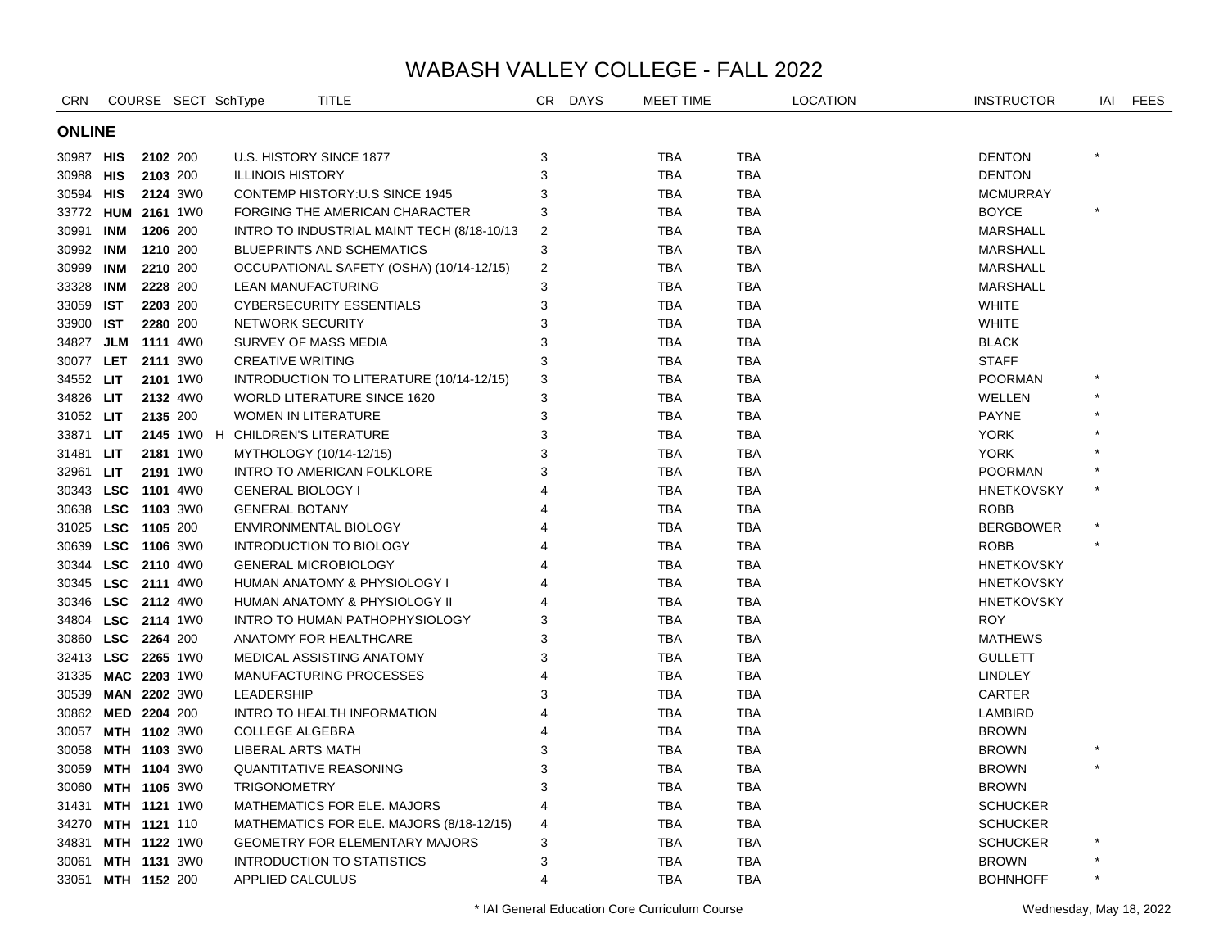| <b>CRN</b>         |                     |          |                 | COURSE SECT SchType      | TITLE                                      | CR             | <b>DAYS</b> | MEET TIME  |            | <b>LOCATION</b> | <b>INSTRUCTOR</b> | IAI     | <b>FEES</b> |
|--------------------|---------------------|----------|-----------------|--------------------------|--------------------------------------------|----------------|-------------|------------|------------|-----------------|-------------------|---------|-------------|
| <b>ONLINE</b>      |                     |          |                 |                          |                                            |                |             |            |            |                 |                   |         |             |
| 30987 HIS          |                     |          | 2102 200        |                          | U.S. HISTORY SINCE 1877                    | 3              |             | TBA        | <b>TBA</b> |                 | <b>DENTON</b>     |         |             |
| 30988 HIS          |                     |          | 2103 200        | <b>ILLINOIS HISTORY</b>  |                                            | 3              |             | <b>TBA</b> | <b>TBA</b> |                 | <b>DENTON</b>     |         |             |
| 30594 HIS          |                     |          | 2124 3W0        |                          | <b>CONTEMP HISTORY:U.S SINCE 1945</b>      | 3              |             | <b>TBA</b> | TBA        |                 | <b>MCMURRAY</b>   |         |             |
|                    | 33772 HUM 2161 1W0  |          |                 |                          | FORGING THE AMERICAN CHARACTER             | 3              |             | <b>TBA</b> | <b>TBA</b> |                 | <b>BOYCE</b>      | $\star$ |             |
| 30991              | <b>INM</b>          | 1206 200 |                 |                          | INTRO TO INDUSTRIAL MAINT TECH (8/18-10/13 | $\overline{2}$ |             | <b>TBA</b> | <b>TBA</b> |                 | <b>MARSHALL</b>   |         |             |
| 30992 INM          |                     |          | 1210 200        |                          | <b>BLUEPRINTS AND SCHEMATICS</b>           | 3              |             | <b>TBA</b> | <b>TBA</b> |                 | <b>MARSHALL</b>   |         |             |
| 30999 INM          |                     |          | 2210 200        |                          | OCCUPATIONAL SAFETY (OSHA) (10/14-12/15)   | $\overline{2}$ |             | <b>TBA</b> | TBA        |                 | <b>MARSHALL</b>   |         |             |
| 33328              | <b>INM</b>          |          | 2228 200        |                          | LEAN MANUFACTURING                         | 3              |             | <b>TBA</b> | <b>TBA</b> |                 | MARSHALL          |         |             |
| 33059 IST          |                     |          | 2203 200        |                          | <b>CYBERSECURITY ESSENTIALS</b>            | 3              |             | <b>TBA</b> | TBA        |                 | <b>WHITE</b>      |         |             |
| 33900 IST          |                     |          | 2280 200        |                          | NETWORK SECURITY                           | 3              |             | <b>TBA</b> | TBA        |                 | <b>WHITE</b>      |         |             |
| 34827              | JLM                 |          | <b>1111</b> 4W0 |                          | SURVEY OF MASS MEDIA                       | 3              |             | <b>TBA</b> | <b>TBA</b> |                 | <b>BLACK</b>      |         |             |
| 30077              | <b>LET</b>          |          | 2111 3W0        | <b>CREATIVE WRITING</b>  |                                            | 3              |             | <b>TBA</b> | <b>TBA</b> |                 | <b>STAFF</b>      |         |             |
| 34552 LIT          |                     |          | 2101 1W0        |                          | INTRODUCTION TO LITERATURE (10/14-12/15)   | 3              |             | <b>TBA</b> | <b>TBA</b> |                 | <b>POORMAN</b>    |         |             |
| 34826 LIT          |                     |          | 2132 4W0        |                          | <b>WORLD LITERATURE SINCE 1620</b>         | 3              |             | <b>TBA</b> | <b>TBA</b> |                 | WELLEN            |         |             |
| 31052 LIT          |                     |          | 2135 200        |                          | <b>WOMEN IN LITERATURE</b>                 | 3              |             | <b>TBA</b> | <b>TBA</b> |                 | <b>PAYNE</b>      |         |             |
| 33871              | <b>LIT</b>          |          |                 |                          | 2145 1W0 H CHILDREN'S LITERATURE           | 3              |             | <b>TBA</b> | <b>TBA</b> |                 | <b>YORK</b>       |         |             |
| 31481              | <b>LIT</b>          |          | 2181 1W0        |                          | MYTHOLOGY (10/14-12/15)                    | 3              |             | <b>TBA</b> | <b>TBA</b> |                 | <b>YORK</b>       |         |             |
| 32961              | LIT.                |          | 2191 1W0        |                          | INTRO TO AMERICAN FOLKLORE                 | 3              |             | <b>TBA</b> | <b>TBA</b> |                 | <b>POORMAN</b>    |         |             |
|                    | 30343 LSC 1101 4W0  |          |                 | <b>GENERAL BIOLOGY I</b> |                                            | 4              |             | <b>TBA</b> | <b>TBA</b> |                 | <b>HNETKOVSKY</b> |         |             |
|                    | 30638 LSC 1103 3W0  |          |                 | <b>GENERAL BOTANY</b>    |                                            |                |             | <b>TBA</b> | <b>TBA</b> |                 | <b>ROBB</b>       |         |             |
| 31025 LSC 1105 200 |                     |          |                 |                          | ENVIRONMENTAL BIOLOGY                      |                |             | <b>TBA</b> | <b>TBA</b> |                 | <b>BERGBOWER</b>  |         |             |
|                    | 30639 LSC 1106 3W0  |          |                 |                          | <b>INTRODUCTION TO BIOLOGY</b>             | 4              |             | <b>TBA</b> | <b>TBA</b> |                 | <b>ROBB</b>       |         |             |
|                    | 30344 LSC 2110 4W0  |          |                 |                          | <b>GENERAL MICROBIOLOGY</b>                | 4              |             | <b>TBA</b> | <b>TBA</b> |                 | <b>HNETKOVSKY</b> |         |             |
| 30345 LSC 2111 4W0 |                     |          |                 |                          | HUMAN ANATOMY & PHYSIOLOGY I               |                |             | <b>TBA</b> | <b>TBA</b> |                 | <b>HNETKOVSKY</b> |         |             |
|                    | 30346 LSC 2112 4W0  |          |                 |                          | HUMAN ANATOMY & PHYSIOLOGY II              | 4              |             | <b>TBA</b> | TBA        |                 | <b>HNETKOVSKY</b> |         |             |
|                    | 34804 LSC 2114 1W0  |          |                 |                          | INTRO TO HUMAN PATHOPHYSIOLOGY             | 3              |             | <b>TBA</b> | <b>TBA</b> |                 | <b>ROY</b>        |         |             |
|                    | 30860 LSC 2264 200  |          |                 |                          | ANATOMY FOR HEALTHCARE                     | 3              |             | <b>TBA</b> | TBA        |                 | <b>MATHEWS</b>    |         |             |
| 32413 LSC 2265 1W0 |                     |          |                 |                          | <b>MEDICAL ASSISTING ANATOMY</b>           | 3              |             | <b>TBA</b> | <b>TBA</b> |                 | <b>GULLETT</b>    |         |             |
| 31335 MAC 2203 1W0 |                     |          |                 |                          | <b>MANUFACTURING PROCESSES</b>             | $\overline{4}$ |             | <b>TBA</b> | <b>TBA</b> |                 | <b>LINDLEY</b>    |         |             |
| 30539              | MAN 2202 3W0        |          |                 | <b>LEADERSHIP</b>        |                                            | 3              |             | <b>TBA</b> | <b>TBA</b> |                 | CARTER            |         |             |
| 30862              | MED 2204 200        |          |                 |                          | INTRO TO HEALTH INFORMATION                | 4              |             | <b>TBA</b> | <b>TBA</b> |                 | LAMBIRD           |         |             |
| 30057              | MTH 1102 3W0        |          |                 | <b>COLLEGE ALGEBRA</b>   |                                            | 4              |             | <b>TBA</b> | <b>TBA</b> |                 | <b>BROWN</b>      |         |             |
| 30058              | <b>MTH 1103 3W0</b> |          |                 | LIBERAL ARTS MATH        |                                            | 3              |             | <b>TBA</b> | <b>TBA</b> |                 | <b>BROWN</b>      |         |             |
| 30059              | <b>MTH 1104 3W0</b> |          |                 |                          | <b>QUANTITATIVE REASONING</b>              | 3              |             | <b>TBA</b> | <b>TBA</b> |                 | <b>BROWN</b>      | $\star$ |             |
| 30060              | <b>MTH 1105 3W0</b> |          |                 | <b>TRIGONOMETRY</b>      |                                            | 3              |             | <b>TBA</b> | <b>TBA</b> |                 | <b>BROWN</b>      |         |             |
| 31431              | MTH 1121 1W0        |          |                 |                          | <b>MATHEMATICS FOR ELE. MAJORS</b>         | 4              |             | <b>TBA</b> | <b>TBA</b> |                 | <b>SCHUCKER</b>   |         |             |
| 34270              | MTH 1121 110        |          |                 |                          | MATHEMATICS FOR ELE. MAJORS (8/18-12/15)   | 4              |             | <b>TBA</b> | <b>TBA</b> |                 | <b>SCHUCKER</b>   |         |             |
| 34831              | MTH 1122 1W0        |          |                 |                          | <b>GEOMETRY FOR ELEMENTARY MAJORS</b>      | 3              |             | <b>TBA</b> | TBA        |                 | <b>SCHUCKER</b>   |         |             |
| 30061              | MTH 1131 3W0        |          |                 |                          | <b>INTRODUCTION TO STATISTICS</b>          | 3              |             | <b>TBA</b> | TBA        |                 | <b>BROWN</b>      |         |             |
| 33051              | <b>MTH 1152 200</b> |          |                 | <b>APPLIED CALCULUS</b>  |                                            | $\overline{4}$ |             | <b>TBA</b> | <b>TBA</b> |                 | <b>BOHNHOFF</b>   | $\star$ |             |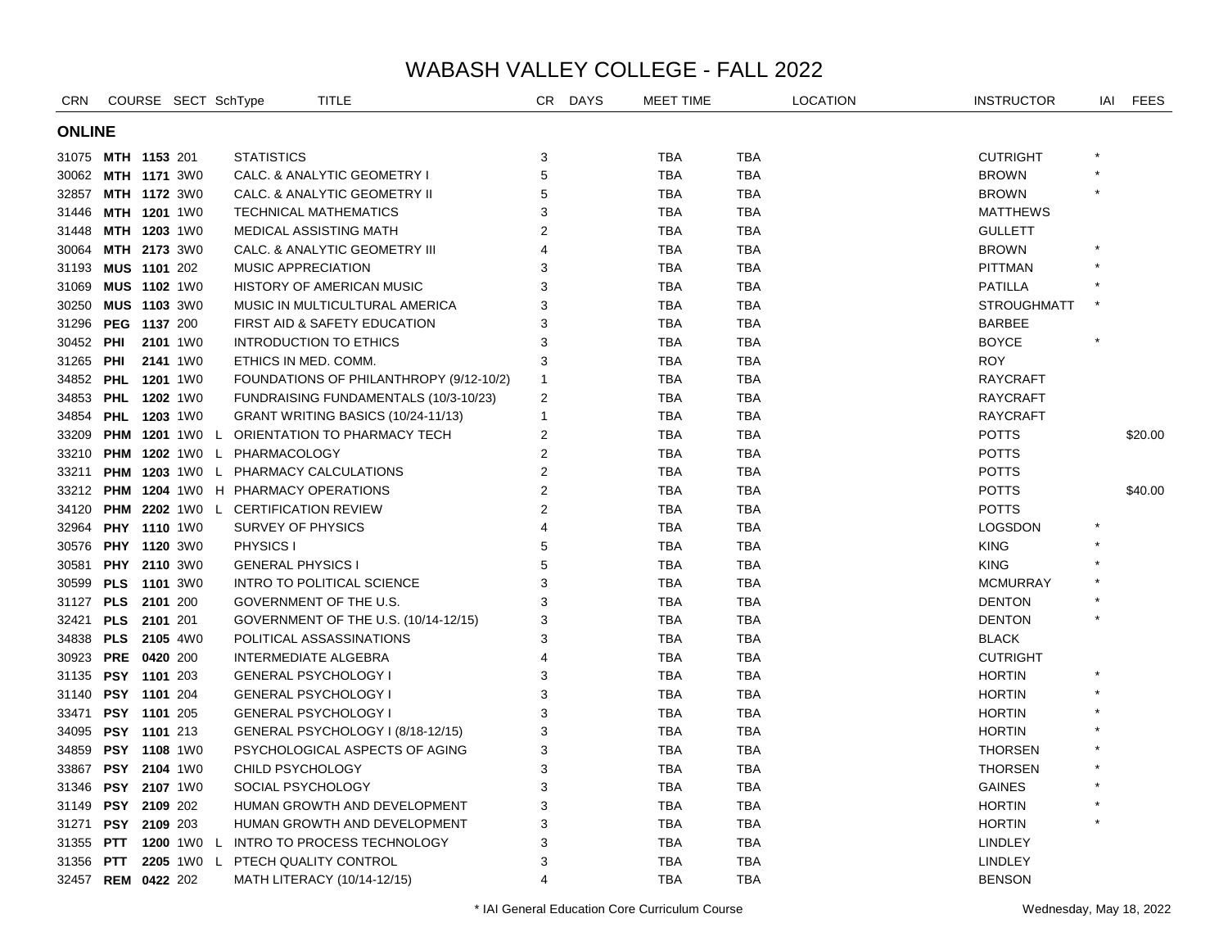| <b>CRN</b>    |                       | COURSE SECT SchType |                                            | <b>TITLE</b>                              | CR.                   | <b>DAYS</b> | MEET TIME  |            | <b>LOCATION</b> | <b>INSTRUCTOR</b>  | IAI     | <b>FEES</b> |
|---------------|-----------------------|---------------------|--------------------------------------------|-------------------------------------------|-----------------------|-------------|------------|------------|-----------------|--------------------|---------|-------------|
| <b>ONLINE</b> |                       |                     |                                            |                                           |                       |             |            |            |                 |                    |         |             |
|               | 31075 MTH 1153 201    |                     | <b>STATISTICS</b>                          |                                           | 3                     |             | <b>TBA</b> | <b>TBA</b> |                 | <b>CUTRIGHT</b>    |         |             |
| 30062         | <b>MTH 1171 3W0</b>   |                     |                                            | CALC. & ANALYTIC GEOMETRY I               | 5                     |             | <b>TBA</b> | TBA        |                 | <b>BROWN</b>       | $\star$ |             |
| 32857         | <b>MTH 1172 3W0</b>   |                     |                                            | CALC. & ANALYTIC GEOMETRY II              | 5                     |             | <b>TBA</b> | TBA        |                 | <b>BROWN</b>       |         |             |
| 31446         | MTH 1201 1W0          |                     |                                            | TECHNICAL MATHEMATICS                     | 3                     |             | <b>TBA</b> | TBA        |                 | <b>MATTHEWS</b>    |         |             |
| 31448         | MTH 1203 1W0          |                     |                                            | MEDICAL ASSISTING MATH                    | $\overline{2}$        |             | <b>TBA</b> | TBA        |                 | <b>GULLETT</b>     |         |             |
| 30064         | MTH 2173 3W0          |                     |                                            | CALC. & ANALYTIC GEOMETRY III             | $\boldsymbol{\Delta}$ |             | <b>TBA</b> | TBA        |                 | <b>BROWN</b>       |         |             |
| 31193         | MUS 1101 202          |                     | MUSIC APPRECIATION                         |                                           | 3                     |             | <b>TBA</b> | <b>TBA</b> |                 | <b>PITTMAN</b>     |         |             |
| 31069         | MUS 1102 1W0          |                     |                                            | <b>HISTORY OF AMERICAN MUSIC</b>          | 3                     |             | <b>TBA</b> | <b>TBA</b> |                 | <b>PATILLA</b>     |         |             |
| 30250         | <b>MUS 1103 3W0</b>   |                     |                                            | MUSIC IN MULTICULTURAL AMERICA            | 3                     |             | <b>TBA</b> | <b>TBA</b> |                 | <b>STROUGHMATT</b> |         |             |
| 31296         | PEG 1137 200          |                     |                                            | FIRST AID & SAFETY EDUCATION              | 3                     |             | <b>TBA</b> | <b>TBA</b> |                 | <b>BARBEE</b>      |         |             |
| 30452         | <b>PHI</b>            | 2101 1W0            |                                            | INTRODUCTION TO ETHICS                    | 3                     |             | <b>TBA</b> | TBA        |                 | <b>BOYCE</b>       |         |             |
| 31265         | PHI                   | 2141 1W0            | ETHICS IN MED. COMM.                       |                                           | 3                     |             | <b>TBA</b> | TBA        |                 | <b>ROY</b>         |         |             |
|               | 34852 PHL 1201 1W0    |                     |                                            | FOUNDATIONS OF PHILANTHROPY (9/12-10/2)   | 1                     |             | <b>TBA</b> | TBA        |                 | <b>RAYCRAFT</b>    |         |             |
|               | 34853 PHL 1202 1W0    |                     |                                            | FUNDRAISING FUNDAMENTALS (10/3-10/23)     | 2                     |             | TBA        | TBA        |                 | <b>RAYCRAFT</b>    |         |             |
| 34854         | <b>PHL 1203 1W0</b>   |                     |                                            | GRANT WRITING BASICS (10/24-11/13)        | 1                     |             | <b>TBA</b> | TBA        |                 | <b>RAYCRAFT</b>    |         |             |
| 33209         | <b>PHM 1201</b> 1W0 L |                     |                                            | ORIENTATION TO PHARMACY TECH              | $\overline{2}$        |             | <b>TBA</b> | <b>TBA</b> |                 | <b>POTTS</b>       |         | \$20.00     |
|               |                       |                     | 33210 PHM 1202 1W0 L PHARMACOLOGY          |                                           | 2                     |             | <b>TBA</b> | <b>TBA</b> |                 | <b>POTTS</b>       |         |             |
| 33211         |                       |                     |                                            | PHM 1203 1W0 L PHARMACY CALCULATIONS      | $\overline{2}$        |             | <b>TBA</b> | <b>TBA</b> |                 | <b>POTTS</b>       |         |             |
| 33212         |                       |                     |                                            | <b>PHM 1204 1W0 H PHARMACY OPERATIONS</b> | $\overline{2}$        |             | <b>TBA</b> | <b>TBA</b> |                 | <b>POTTS</b>       |         | \$40.00     |
| 34120         |                       |                     | <b>PHM 2202 1WO L CERTIFICATION REVIEW</b> |                                           | 2                     |             | <b>TBA</b> | <b>TBA</b> |                 | <b>POTTS</b>       |         |             |
| 32964         | PHY 1110 1W0          |                     | SURVEY OF PHYSICS                          |                                           | $\overline{4}$        |             | <b>TBA</b> | <b>TBA</b> |                 | <b>LOGSDON</b>     |         |             |
| 30576         | <b>PHY 1120 3W0</b>   |                     | PHYSICS I                                  |                                           | 5                     |             | <b>TBA</b> | TBA        |                 | <b>KING</b>        |         |             |
| 30581         | PHY 2110 3W0          |                     | <b>GENERAL PHYSICS I</b>                   |                                           | 5                     |             | <b>TBA</b> | TBA        |                 | <b>KING</b>        |         |             |
| 30599         | <b>PLS</b> 1101 3W0   |                     |                                            | INTRO TO POLITICAL SCIENCE                | 3                     |             | <b>TBA</b> | TBA        |                 | <b>MCMURRAY</b>    |         |             |
| 31127         | <b>PLS</b> 2101 200   |                     |                                            | GOVERNMENT OF THE U.S.                    | 3                     |             | <b>TBA</b> | TBA        |                 | <b>DENTON</b>      |         |             |
| 32421         | PLS 2101 201          |                     |                                            | GOVERNMENT OF THE U.S. (10/14-12/15)      | 3                     |             | <b>TBA</b> | <b>TBA</b> |                 | <b>DENTON</b>      |         |             |
| 34838         | PLS 2105 4W0          |                     |                                            | POLITICAL ASSASSINATIONS                  | 3                     |             | <b>TBA</b> | <b>TBA</b> |                 | <b>BLACK</b>       |         |             |
| 30923         | PRE 0420 200          |                     |                                            | <b>INTERMEDIATE ALGEBRA</b>               | $\overline{4}$        |             | <b>TBA</b> | <b>TBA</b> |                 | <b>CUTRIGHT</b>    |         |             |
| 31135         | PSY 1101 203          |                     |                                            | <b>GENERAL PSYCHOLOGY I</b>               | 3                     |             | <b>TBA</b> | <b>TBA</b> |                 | <b>HORTIN</b>      |         |             |
| 31140         | PSY 1101 204          |                     |                                            | <b>GENERAL PSYCHOLOGY I</b>               | 3                     |             | <b>TBA</b> | TBA        |                 | <b>HORTIN</b>      |         |             |
| 33471         | PSY 1101 205          |                     |                                            | <b>GENERAL PSYCHOLOGY I</b>               | 3                     |             | <b>TBA</b> | TBA        |                 | <b>HORTIN</b>      |         |             |
| 34095         | PSY 1101 213          |                     |                                            | GENERAL PSYCHOLOGY I (8/18-12/15)         | 3                     |             | <b>TBA</b> | TBA        |                 | <b>HORTIN</b>      |         |             |
| 34859         | <b>PSY 1108 1W0</b>   |                     |                                            | PSYCHOLOGICAL ASPECTS OF AGING            | 3                     |             | <b>TBA</b> | TBA        |                 | <b>THORSEN</b>     |         |             |
| 33867         | <b>PSY 2104 1W0</b>   |                     | CHILD PSYCHOLOGY                           |                                           | 3                     |             | <b>TBA</b> | TBA        |                 | <b>THORSEN</b>     |         |             |
| 31346         | <b>PSY 2107 1W0</b>   |                     | SOCIAL PSYCHOLOGY                          |                                           | 3                     |             | <b>TBA</b> | TBA        |                 | <b>GAINES</b>      |         |             |
| 31149         | PSY 2109 202          |                     |                                            | HUMAN GROWTH AND DEVELOPMENT              | 3                     |             | <b>TBA</b> | <b>TBA</b> |                 | <b>HORTIN</b>      |         |             |
| 31271         | PSY 2109 203          |                     |                                            | HUMAN GROWTH AND DEVELOPMENT              | 3                     |             | <b>TBA</b> | <b>TBA</b> |                 | <b>HORTIN</b>      |         |             |
| 31355         | <b>PTT 1200</b> 1W0 L |                     |                                            | INTRO TO PROCESS TECHNOLOGY               | 3                     |             | <b>TBA</b> | <b>TBA</b> |                 | <b>LINDLEY</b>     |         |             |
| 31356 PTT     |                       | 2205 1W0 L          |                                            | PTECH QUALITY CONTROL                     | 3                     |             | <b>TBA</b> | <b>TBA</b> |                 | <b>LINDLEY</b>     |         |             |
|               | 32457 REM 0422 202    |                     |                                            | MATH LITERACY (10/14-12/15)               | $\overline{4}$        |             | <b>TBA</b> | <b>TBA</b> |                 | <b>BENSON</b>      |         |             |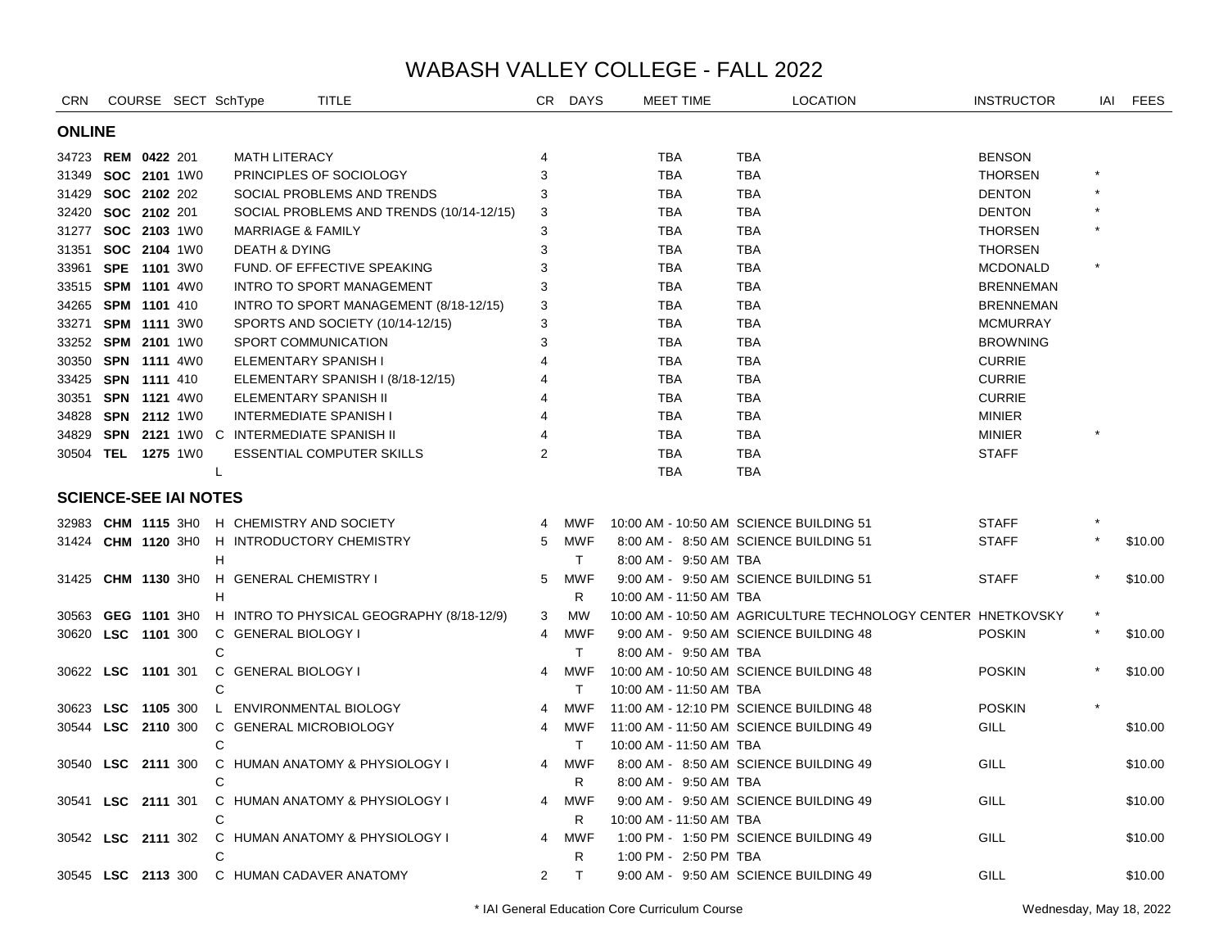| <b>CRN</b>                   |                     |                     | COURSE SECT SchType          | <b>TITLE</b>                               |                | CR DAYS    | MEET TIME               | <b>LOCATION</b>                                              | <b>INSTRUCTOR</b> | IAI | <b>FEES</b> |
|------------------------------|---------------------|---------------------|------------------------------|--------------------------------------------|----------------|------------|-------------------------|--------------------------------------------------------------|-------------------|-----|-------------|
| <b>ONLINE</b>                |                     |                     |                              |                                            |                |            |                         |                                                              |                   |     |             |
| 34723 REM 0422 201           |                     |                     | <b>MATH LITERACY</b>         |                                            |                |            | TBA                     | <b>TBA</b>                                                   | <b>BENSON</b>     |     |             |
| 31349                        | SOC 2101 1W0        |                     |                              | PRINCIPLES OF SOCIOLOGY                    | 3              |            | <b>TBA</b>              | <b>TBA</b>                                                   | <b>THORSEN</b>    |     |             |
| 31429 SOC 2102 202           |                     |                     |                              | SOCIAL PROBLEMS AND TRENDS                 | 3              |            | <b>TBA</b>              | <b>TBA</b>                                                   | <b>DENTON</b>     |     |             |
| 32420                        | SOC 2102 201        |                     |                              | SOCIAL PROBLEMS AND TRENDS (10/14-12/15)   | 3              |            | <b>TBA</b>              | <b>TBA</b>                                                   | <b>DENTON</b>     |     |             |
| 31277                        | SOC 2103 1W0        |                     | <b>MARRIAGE &amp; FAMILY</b> |                                            | 3              |            | <b>TBA</b>              | <b>TBA</b>                                                   | <b>THORSEN</b>    |     |             |
| 31351 SOC 2104 1W0           |                     |                     | <b>DEATH &amp; DYING</b>     |                                            | 3              |            | <b>TBA</b>              | <b>TBA</b>                                                   | <b>THORSEN</b>    |     |             |
| 33961 SPE 1101 3W0           |                     |                     |                              | FUND. OF EFFECTIVE SPEAKING                |                |            | <b>TBA</b>              | <b>TBA</b>                                                   | <b>MCDONALD</b>   |     |             |
| 33515 SPM 1101 4W0           |                     |                     |                              | <b>INTRO TO SPORT MANAGEMENT</b>           | 3              |            | <b>TBA</b>              | <b>TBA</b>                                                   | <b>BRENNEMAN</b>  |     |             |
| 34265 SPM 1101 410           |                     |                     |                              | INTRO TO SPORT MANAGEMENT (8/18-12/15)     | 3              |            | TBA                     | TBA                                                          | <b>BRENNEMAN</b>  |     |             |
| 33271 SPM 1111 3W0           |                     |                     |                              | SPORTS AND SOCIETY (10/14-12/15)           | 3              |            | <b>TBA</b>              | <b>TBA</b>                                                   | <b>MCMURRAY</b>   |     |             |
| 33252 SPM 2101 1W0           |                     |                     |                              | SPORT COMMUNICATION                        |                |            | <b>TBA</b>              | <b>TBA</b>                                                   | <b>BROWNING</b>   |     |             |
| 30350 SPN 1111 4W0           |                     |                     |                              | ELEMENTARY SPANISH I                       |                |            | <b>TBA</b>              | <b>TBA</b>                                                   | <b>CURRIE</b>     |     |             |
| 33425 SPN 1111 410           |                     |                     |                              | ELEMENTARY SPANISH I (8/18-12/15)          |                |            | <b>TBA</b>              | <b>TBA</b>                                                   | <b>CURRIE</b>     |     |             |
| 30351 SPN 1121 4W0           |                     |                     |                              | ELEMENTARY SPANISH II                      |                |            | <b>TBA</b>              | <b>TBA</b>                                                   | <b>CURRIE</b>     |     |             |
| 34828 SPN 2112 1W0           |                     |                     |                              | <b>INTERMEDIATE SPANISH I</b>              |                |            | TBA                     | <b>TBA</b>                                                   | <b>MINIER</b>     |     |             |
| 34829                        |                     |                     |                              | SPN 2121 1WO C INTERMEDIATE SPANISH II     |                |            | <b>TBA</b>              | <b>TBA</b>                                                   | <b>MINIER</b>     |     |             |
| 30504 TEL 1275 1W0           |                     |                     |                              | <b>ESSENTIAL COMPUTER SKILLS</b>           | $\overline{2}$ |            | <b>TBA</b>              | TBA                                                          | <b>STAFF</b>      |     |             |
|                              |                     |                     | L                            |                                            |                |            | <b>TBA</b>              | <b>TBA</b>                                                   |                   |     |             |
| <b>SCIENCE-SEE IAI NOTES</b> |                     |                     |                              |                                            |                |            |                         |                                                              |                   |     |             |
|                              |                     |                     |                              | 32983 CHM 1115 3H0 H CHEMISTRY AND SOCIETY | 4              | <b>MWF</b> |                         | 10:00 AM - 10:50 AM SCIENCE BUILDING 51                      | <b>STAFF</b>      |     |             |
| 31424                        |                     | <b>CHM 1120 3HO</b> |                              | H INTRODUCTORY CHEMISTRY                   | 5              | MWF        |                         | 8:00 AM - 8:50 AM SCIENCE BUILDING 51                        | <b>STAFF</b>      |     | \$10.00     |
|                              |                     |                     | н                            |                                            |                | T.         | 8:00 AM - 9:50 AM TBA   |                                                              |                   |     |             |
| 31425                        | CHM 1130 3H0        |                     | H GENERAL CHEMISTRY I        |                                            | 5              | <b>MWF</b> |                         | 9:00 AM - 9:50 AM SCIENCE BUILDING 51                        | <b>STAFF</b>      |     | \$10.00     |
|                              |                     |                     | н                            |                                            |                | R.         | 10:00 AM - 11:50 AM TBA |                                                              |                   |     |             |
| 30563                        | GEG 1101 3H0        |                     |                              | H INTRO TO PHYSICAL GEOGRAPHY (8/18-12/9)  | 3              | <b>MW</b>  |                         | 10:00 AM - 10:50 AM AGRICULTURE TECHNOLOGY CENTER HNETKOVSKY |                   |     |             |
| 30620                        | LSC 1101 300        |                     | C GENERAL BIOLOGY I          |                                            | 4              | <b>MWF</b> |                         | 9:00 AM - 9:50 AM SCIENCE BUILDING 48                        | <b>POSKIN</b>     |     | \$10.00     |
|                              |                     |                     | C                            |                                            |                | T.         | 8:00 AM - 9:50 AM TBA   |                                                              |                   |     |             |
| 30622                        | LSC 1101 301        |                     | C GENERAL BIOLOGY I          |                                            | 4              | <b>MWF</b> |                         | 10:00 AM - 10:50 AM SCIENCE BUILDING 48                      | <b>POSKIN</b>     |     | \$10.00     |
|                              |                     |                     | C                            |                                            |                | T.         | 10:00 AM - 11:50 AM TBA |                                                              |                   |     |             |
| 30623 LSC                    |                     | 1105 300            |                              | L ENVIRONMENTAL BIOLOGY                    | 4              | <b>MWF</b> |                         | 11:00 AM - 12:10 PM SCIENCE BUILDING 48                      | <b>POSKIN</b>     |     |             |
| 30544                        | <b>LSC</b>          | 2110 300            |                              | C GENERAL MICROBIOLOGY                     | 4              | MWF        |                         | 11:00 AM - 11:50 AM SCIENCE BUILDING 49                      | <b>GILL</b>       |     | \$10.00     |
|                              |                     |                     | C                            |                                            |                | T.         | 10:00 AM - 11:50 AM TBA |                                                              |                   |     |             |
| 30540                        | <b>LSC</b> 2111 300 |                     |                              | C HUMAN ANATOMY & PHYSIOLOGY I             | 4              | <b>MWF</b> |                         | 8:00 AM - 8:50 AM SCIENCE BUILDING 49                        | GILL              |     | \$10.00     |
|                              |                     |                     | C                            |                                            |                | R.         | 8:00 AM - 9:50 AM TBA   |                                                              |                   |     |             |
| 30541                        | <b>LSC</b> 2111 301 |                     |                              | C HUMAN ANATOMY & PHYSIOLOGY I             | 4              | <b>MWF</b> |                         | 9:00 AM - 9:50 AM SCIENCE BUILDING 49                        | GILL              |     | \$10.00     |
|                              |                     |                     | Ċ                            |                                            |                | R.         | 10:00 AM - 11:50 AM TBA |                                                              |                   |     |             |
| 30542 LSC 2111 302           |                     |                     |                              | C HUMAN ANATOMY & PHYSIOLOGY I             | $\overline{4}$ | <b>MWF</b> |                         | 1:00 PM - 1:50 PM SCIENCE BUILDING 49                        | GILL              |     | \$10.00     |
|                              |                     |                     | C                            |                                            |                | R          | 1:00 PM - 2:50 PM TBA   |                                                              |                   |     |             |
|                              |                     |                     |                              | 30545 LSC 2113 300 C HUMAN CADAVER ANATOMY | $\overline{2}$ | T          |                         | 9:00 AM - 9:50 AM SCIENCE BUILDING 49                        | GILL              |     | \$10.00     |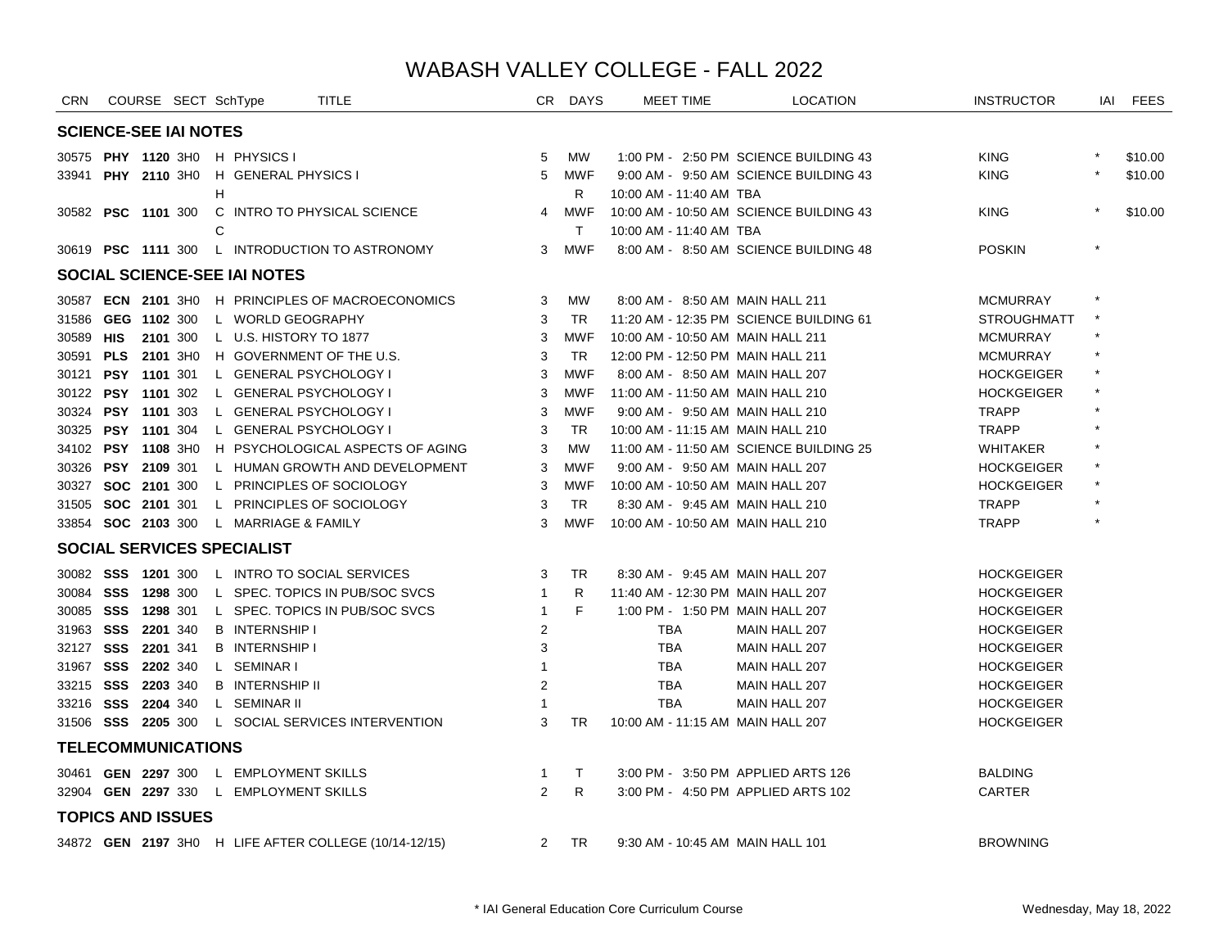| CRN                          |                     |          | COURSE SECT SchType                    | <b>TITLE</b>                                          |                | CR DAYS    | MEET TIME                         | <b>LOCATION</b>                         | <b>INSTRUCTOR</b>  | IAI     | <b>FEES</b> |
|------------------------------|---------------------|----------|----------------------------------------|-------------------------------------------------------|----------------|------------|-----------------------------------|-----------------------------------------|--------------------|---------|-------------|
| <b>SCIENCE-SEE IAI NOTES</b> |                     |          |                                        |                                                       |                |            |                                   |                                         |                    |         |             |
|                              |                     |          | 30575 PHY 1120 3H0 H PHYSICS I         |                                                       | 5              | <b>MW</b>  |                                   | 1:00 PM - 2:50 PM SCIENCE BUILDING 43   | <b>KING</b>        |         | \$10.00     |
|                              |                     |          | 33941 PHY 2110 3HO H GENERAL PHYSICS I |                                                       | 5              | <b>MWF</b> |                                   | 9:00 AM - 9:50 AM SCIENCE BUILDING 43   | <b>KING</b>        |         | \$10.00     |
|                              |                     |          | H                                      |                                                       |                | R          | 10:00 AM - 11:40 AM TBA           |                                         |                    |         |             |
| 30582 PSC 1101 300           |                     |          |                                        | C INTRO TO PHYSICAL SCIENCE                           | 4              | MWF        |                                   | 10:00 AM - 10:50 AM SCIENCE BUILDING 43 | <b>KING</b>        |         | \$10.00     |
|                              |                     |          | C                                      |                                                       |                | $\top$     | 10:00 AM - 11:40 AM TBA           |                                         |                    |         |             |
|                              |                     |          |                                        | 30619 PSC 1111 300 L INTRODUCTION TO ASTRONOMY        | 3              | MWF        |                                   | 8:00 AM - 8:50 AM SCIENCE BUILDING 48   | <b>POSKIN</b>      | $\star$ |             |
|                              |                     |          | SOCIAL SCIENCE-SEE IAI NOTES           |                                                       |                |            |                                   |                                         |                    |         |             |
|                              |                     |          |                                        | 30587 ECN 2101 3H0 H PRINCIPLES OF MACROECONOMICS     | 3              | MW         | 8:00 AM - 8:50 AM MAIN HALL 211   |                                         | <b>MCMURRAY</b>    |         |             |
| 31586                        | GEG 1102 300        |          | L WORLD GEOGRAPHY                      |                                                       | 3              | TR.        |                                   | 11:20 AM - 12:35 PM SCIENCE BUILDING 61 | <b>STROUGHMATT</b> |         |             |
| 30589                        | HIS                 | 2101 300 | L U.S. HISTORY TO 1877                 |                                                       | 3              | <b>MWF</b> | 10:00 AM - 10:50 AM MAIN HALL 211 |                                         | <b>MCMURRAY</b>    |         |             |
| 30591                        | PLS 2101 3H0        |          |                                        | H GOVERNMENT OF THE U.S.                              | 3              | <b>TR</b>  | 12:00 PM - 12:50 PM MAIN HALL 211 |                                         | <b>MCMURRAY</b>    |         |             |
| 30121                        | <b>PSY 1101 301</b> |          | L GENERAL PSYCHOLOGY I                 |                                                       | 3              | <b>MWF</b> | 8:00 AM - 8:50 AM MAIN HALL 207   |                                         | <b>HOCKGEIGER</b>  |         |             |
| 30122 PSY 1101 302           |                     |          | L GENERAL PSYCHOLOGY I                 |                                                       | 3              | <b>MWF</b> | 11:00 AM - 11:50 AM MAIN HALL 210 |                                         | <b>HOCKGEIGER</b>  | $\star$ |             |
| 30324 PSY 1101 303           |                     |          |                                        | L GENERAL PSYCHOLOGY I                                | 3              | <b>MWF</b> | 9:00 AM - 9:50 AM MAIN HALL 210   |                                         | <b>TRAPP</b>       |         |             |
| 30325                        | <b>PSY 1101</b> 304 |          | L GENERAL PSYCHOLOGY I                 |                                                       | 3              | <b>TR</b>  | 10:00 AM - 11:15 AM MAIN HALL 210 |                                         | <b>TRAPP</b>       |         |             |
| 34102 PSY 1108 3H0           |                     |          |                                        | H PSYCHOLOGICAL ASPECTS OF AGING                      | 3              | <b>MW</b>  |                                   | 11:00 AM - 11:50 AM SCIENCE BUILDING 25 | WHITAKER           |         |             |
| 30326                        | <b>PSY 2109 301</b> |          |                                        | L HUMAN GROWTH AND DEVELOPMENT                        | 3              | <b>MWF</b> | 9:00 AM - 9:50 AM MAIN HALL 207   |                                         | <b>HOCKGEIGER</b>  |         |             |
| 30327 SOC 2101 300           |                     |          |                                        | L PRINCIPLES OF SOCIOLOGY                             | 3              | <b>MWF</b> | 10:00 AM - 10:50 AM MAIN HALL 207 |                                         | <b>HOCKGEIGER</b>  |         |             |
| 31505 SOC 2101 301           |                     |          |                                        | L PRINCIPLES OF SOCIOLOGY                             | 3              | <b>TR</b>  | 8:30 AM - 9:45 AM MAIN HALL 210   |                                         | <b>TRAPP</b>       |         |             |
| 33854 SOC 2103 300           |                     |          | L MARRIAGE & FAMILY                    |                                                       | 3              | <b>MWF</b> | 10:00 AM - 10:50 AM MAIN HALL 210 |                                         | <b>TRAPP</b>       |         |             |
|                              |                     |          | <b>SOCIAL SERVICES SPECIALIST</b>      |                                                       |                |            |                                   |                                         |                    |         |             |
|                              |                     |          |                                        | 30082 SSS 1201 300 L INTRO TO SOCIAL SERVICES         | 3              | <b>TR</b>  | 8:30 AM - 9:45 AM MAIN HALL 207   |                                         | <b>HOCKGEIGER</b>  |         |             |
| 30084 SSS                    |                     | 1298 300 |                                        | L SPEC. TOPICS IN PUB/SOC SVCS                        | $\mathbf{1}$   | R          | 11:40 AM - 12:30 PM MAIN HALL 207 |                                         | <b>HOCKGEIGER</b>  |         |             |
| 30085                        | SSS                 | 1298 301 |                                        | L SPEC. TOPICS IN PUB/SOC SVCS                        | $\mathbf{1}$   | F          | 1:00 PM - 1:50 PM MAIN HALL 207   |                                         | <b>HOCKGEIGER</b>  |         |             |
| 31963                        | <b>SSS 2201</b> 340 |          | <b>B</b> INTERNSHIP I                  |                                                       | 2              |            | <b>TBA</b>                        | MAIN HALL 207                           | <b>HOCKGEIGER</b>  |         |             |
| 32127 SSS 2201 341           |                     |          | <b>B</b> INTERNSHIP I                  |                                                       | 3              |            | TBA                               | MAIN HALL 207                           | <b>HOCKGEIGER</b>  |         |             |
| 31967 SSS 2202 340           |                     |          | L SEMINARI                             |                                                       |                |            | TBA                               | MAIN HALL 207                           | <b>HOCKGEIGER</b>  |         |             |
| 33215                        | <b>SSS 2203 340</b> |          | <b>B</b> INTERNSHIP II                 |                                                       | $\overline{2}$ |            | TBA                               | MAIN HALL 207                           | <b>HOCKGEIGER</b>  |         |             |
| 33216 SSS 2204 340           |                     |          | L SEMINAR II                           |                                                       |                |            | <b>TBA</b>                        | MAIN HALL 207                           | <b>HOCKGEIGER</b>  |         |             |
| 31506 SSS 2205 300           |                     |          |                                        | L SOCIAL SERVICES INTERVENTION                        | 3              | <b>TR</b>  | 10:00 AM - 11:15 AM MAIN HALL 207 |                                         | <b>HOCKGEIGER</b>  |         |             |
| <b>TELECOMMUNICATIONS</b>    |                     |          |                                        |                                                       |                |            |                                   |                                         |                    |         |             |
|                              |                     |          | 30461 GEN 2297 300 L EMPLOYMENT SKILLS |                                                       | -1             | $\top$     |                                   | 3:00 PM - 3:50 PM APPLIED ARTS 126      | <b>BALDING</b>     |         |             |
|                              |                     |          | 32904 GEN 2297 330 L EMPLOYMENT SKILLS |                                                       | 2              | R.         |                                   | 3:00 PM - 4:50 PM APPLIED ARTS 102      | <b>CARTER</b>      |         |             |
| <b>TOPICS AND ISSUES</b>     |                     |          |                                        |                                                       |                |            |                                   |                                         |                    |         |             |
|                              |                     |          |                                        | 34872 GEN 2197 3H0 H LIFE AFTER COLLEGE (10/14-12/15) | $\overline{2}$ | TR         | 9:30 AM - 10:45 AM MAIN HALL 101  |                                         | <b>BROWNING</b>    |         |             |